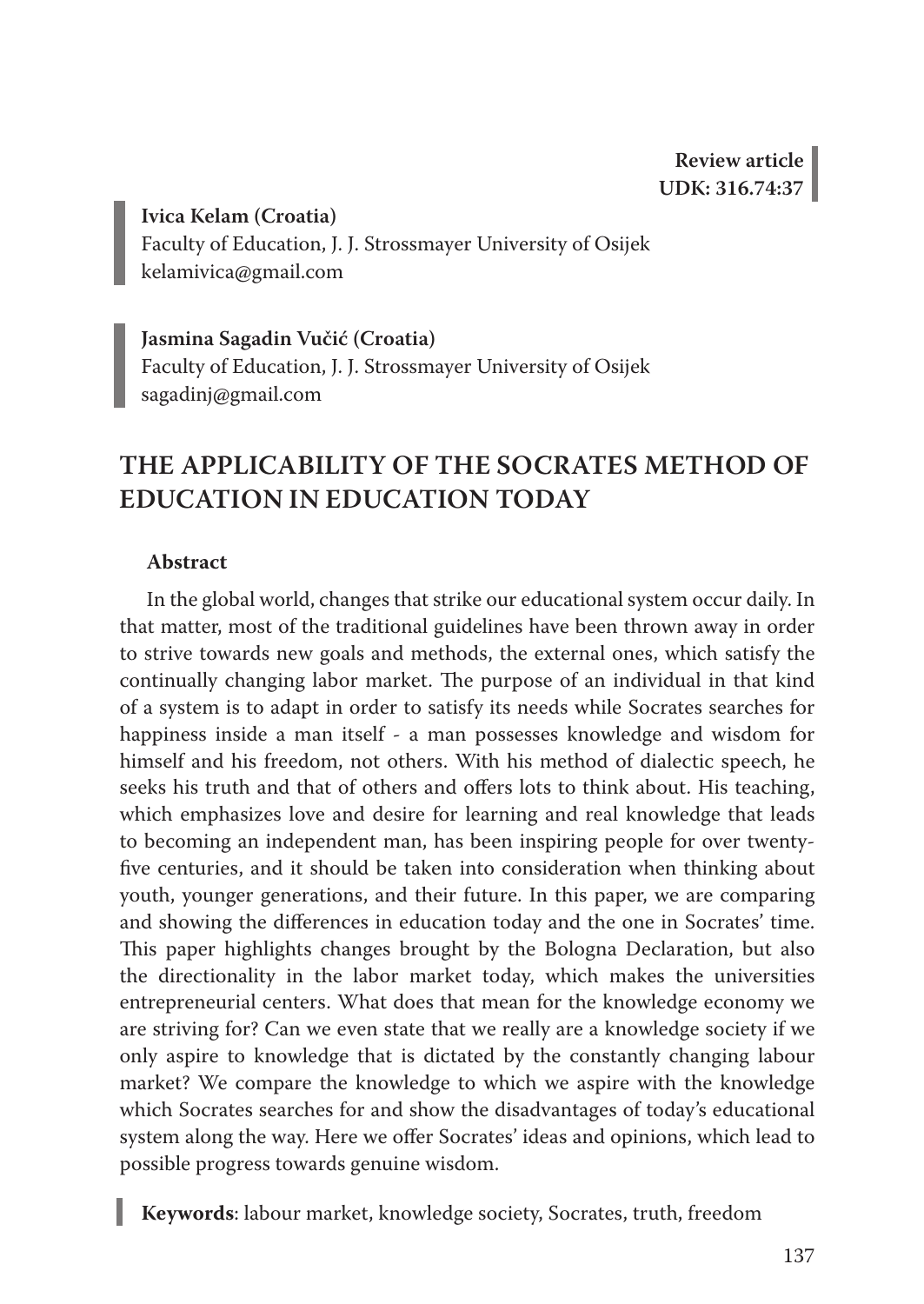**Ivica Kelam (Croatia)** Faculty of Education, J. J. Strossmayer University of Osijek kelamivica@gmail.com

**Jasmina Sagadin Vučić (Croatia)** Faculty of Education, J. J. Strossmayer University of Osijek sagadinj@gmail.com

# **THE APPLICABILITY OF THE SOCRATES METHOD OF EDUCATION IN EDUCATION TODAY**

## **Abstract**

In the global world, changes that strike our educational system occur daily. In that matter, most of the traditional guidelines have been thrown away in order to strive towards new goals and methods, the external ones, which satisfy the continually changing labor market. The purpose of an individual in that kind of a system is to adapt in order to satisfy its needs while Socrates searches for happiness inside a man itself - a man possesses knowledge and wisdom for himself and his freedom, not others. With his method of dialectic speech, he seeks his truth and that of others and offers lots to think about. His teaching, which emphasizes love and desire for learning and real knowledge that leads to becoming an independent man, has been inspiring people for over twentyfive centuries, and it should be taken into consideration when thinking about youth, younger generations, and their future. In this paper, we are comparing and showing the differences in education today and the one in Socrates' time. This paper highlights changes brought by the Bologna Declaration, but also the directionality in the labor market today, which makes the universities entrepreneurial centers. What does that mean for the knowledge economy we are striving for? Can we even state that we really are a knowledge society if we only aspire to knowledge that is dictated by the constantly changing labour market? We compare the knowledge to which we aspire with the knowledge which Socrates searches for and show the disadvantages of today's educational system along the way. Here we offer Socrates' ideas and opinions, which lead to possible progress towards genuine wisdom.

**Keywords**: labour market, knowledge society, Socrates, truth, freedom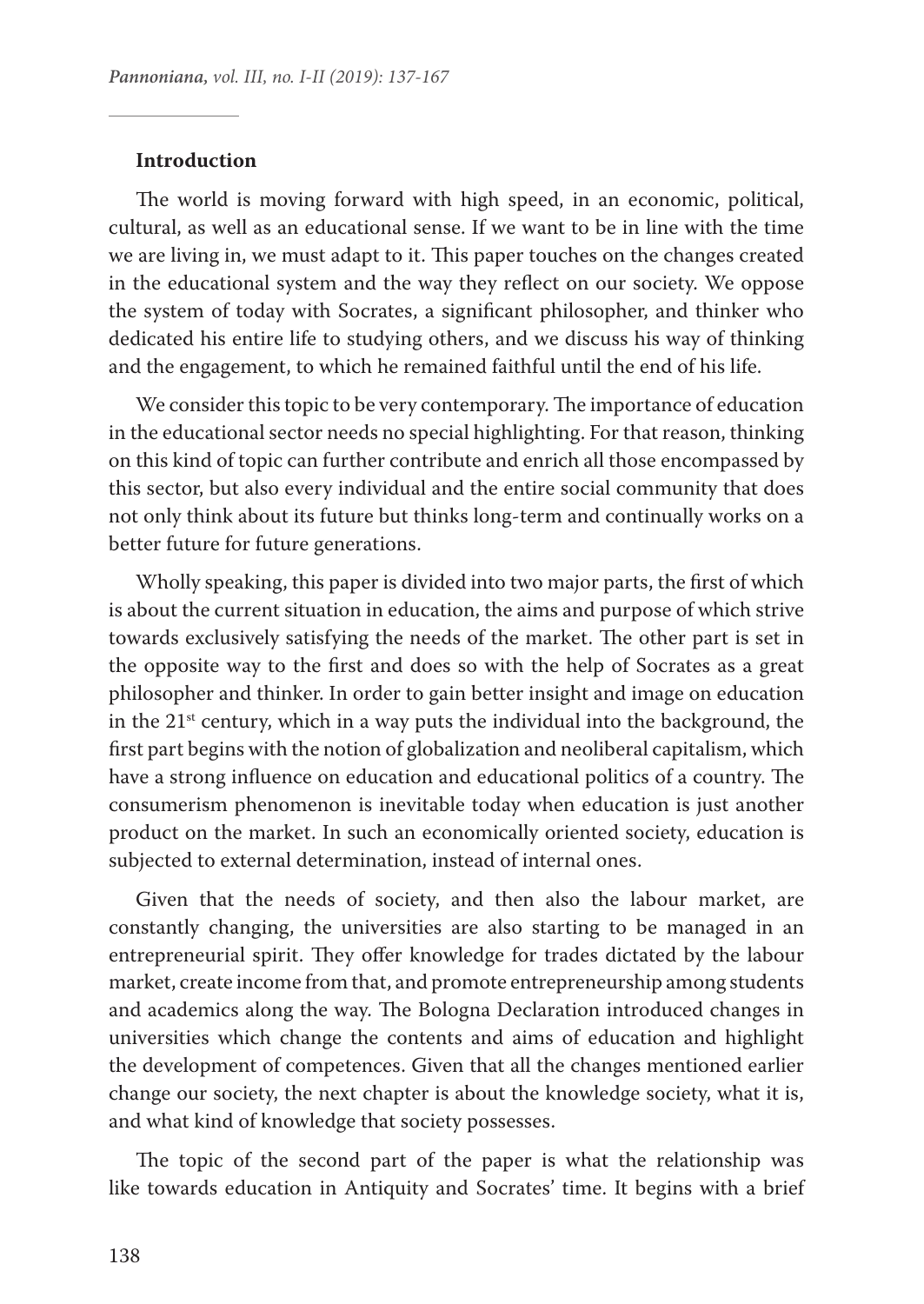#### **Introduction**

The world is moving forward with high speed, in an economic, political, cultural, as well as an educational sense. If we want to be in line with the time we are living in, we must adapt to it. This paper touches on the changes created in the educational system and the way they reflect on our society. We oppose the system of today with Socrates, a significant philosopher, and thinker who dedicated his entire life to studying others, and we discuss his way of thinking and the engagement, to which he remained faithful until the end of his life.

We consider this topic to be very contemporary. The importance of education in the educational sector needs no special highlighting. For that reason, thinking on this kind of topic can further contribute and enrich all those encompassed by this sector, but also every individual and the entire social community that does not only think about its future but thinks long-term and continually works on a better future for future generations.

Wholly speaking, this paper is divided into two major parts, the first of which is about the current situation in education, the aims and purpose of which strive towards exclusively satisfying the needs of the market. The other part is set in the opposite way to the first and does so with the help of Socrates as a great philosopher and thinker. In order to gain better insight and image on education in the 21<sup>st</sup> century, which in a way puts the individual into the background, the first part begins with the notion of globalization and neoliberal capitalism, which have a strong influence on education and educational politics of a country. The consumerism phenomenon is inevitable today when education is just another product on the market. In such an economically oriented society, education is subjected to external determination, instead of internal ones.

Given that the needs of society, and then also the labour market, are constantly changing, the universities are also starting to be managed in an entrepreneurial spirit. They offer knowledge for trades dictated by the labour market, create income from that, and promote entrepreneurship among students and academics along the way. The Bologna Declaration introduced changes in universities which change the contents and aims of education and highlight the development of competences. Given that all the changes mentioned earlier change our society, the next chapter is about the knowledge society, what it is, and what kind of knowledge that society possesses.

The topic of the second part of the paper is what the relationship was like towards education in Antiquity and Socrates' time. It begins with a brief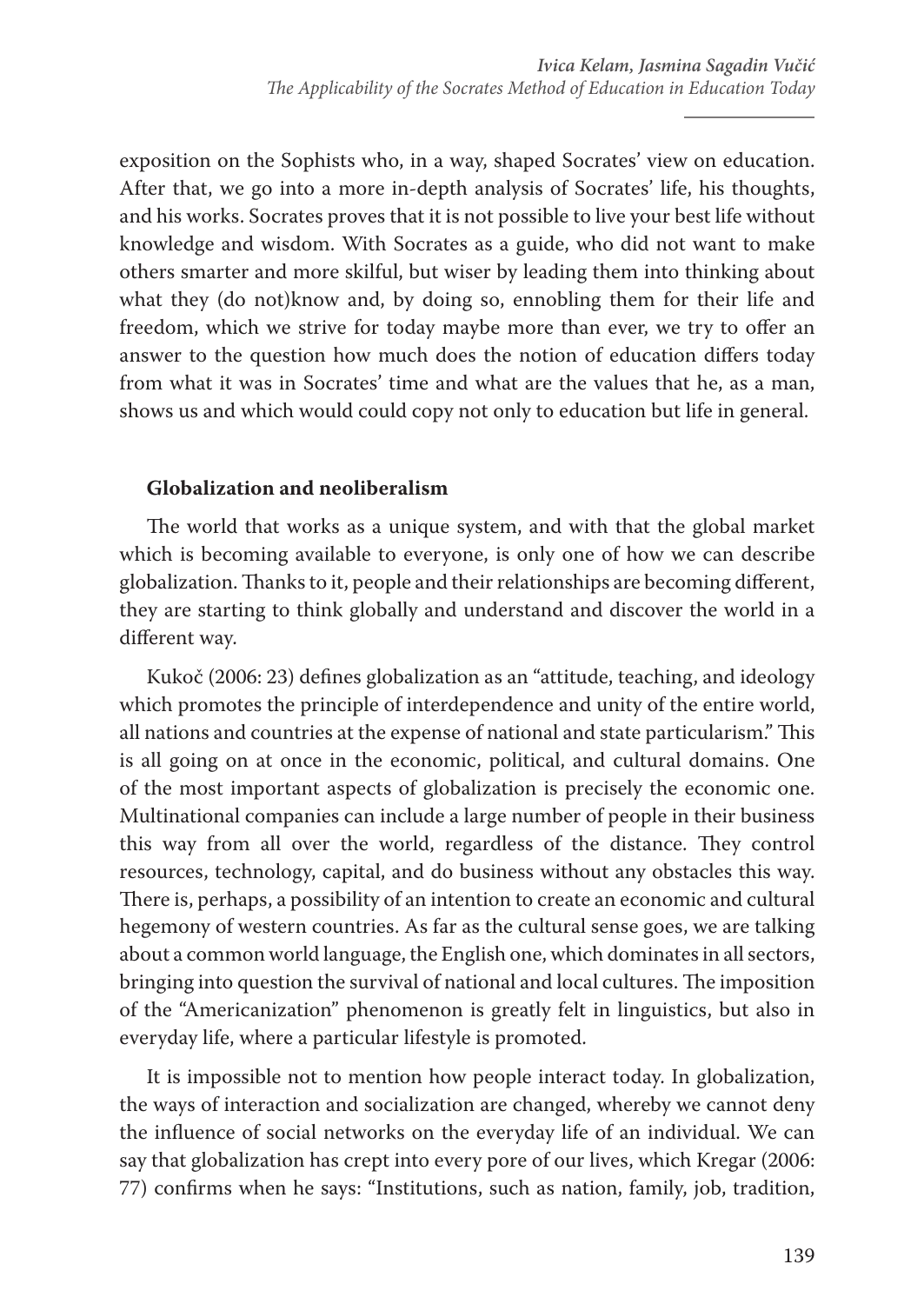exposition on the Sophists who, in a way, shaped Socrates' view on education. After that, we go into a more in-depth analysis of Socrates' life, his thoughts, and his works. Socrates proves that it is not possible to live your best life without knowledge and wisdom. With Socrates as a guide, who did not want to make others smarter and more skilful, but wiser by leading them into thinking about what they (do not)know and, by doing so, ennobling them for their life and freedom, which we strive for today maybe more than ever, we try to offer an answer to the question how much does the notion of education differs today from what it was in Socrates' time and what are the values that he, as a man, shows us and which would could copy not only to education but life in general.

# **Globalization and neoliberalism**

The world that works as a unique system, and with that the global market which is becoming available to everyone, is only one of how we can describe globalization. Thanks to it, people and their relationships are becoming different, they are starting to think globally and understand and discover the world in a different way.

Kukoč (2006: 23) defines globalization as an "attitude, teaching, and ideology which promotes the principle of interdependence and unity of the entire world, all nations and countries at the expense of national and state particularism." This is all going on at once in the economic, political, and cultural domains. One of the most important aspects of globalization is precisely the economic one. Multinational companies can include a large number of people in their business this way from all over the world, regardless of the distance. They control resources, technology, capital, and do business without any obstacles this way. There is, perhaps, a possibility of an intention to create an economic and cultural hegemony of western countries. As far as the cultural sense goes, we are talking about a common world language, the English one, which dominates in all sectors, bringing into question the survival of national and local cultures. The imposition of the "Americanization" phenomenon is greatly felt in linguistics, but also in everyday life, where a particular lifestyle is promoted.

It is impossible not to mention how people interact today. In globalization, the ways of interaction and socialization are changed, whereby we cannot deny the influence of social networks on the everyday life of an individual. We can say that globalization has crept into every pore of our lives, which Kregar (2006: 77) confirms when he says: "Institutions, such as nation, family, job, tradition,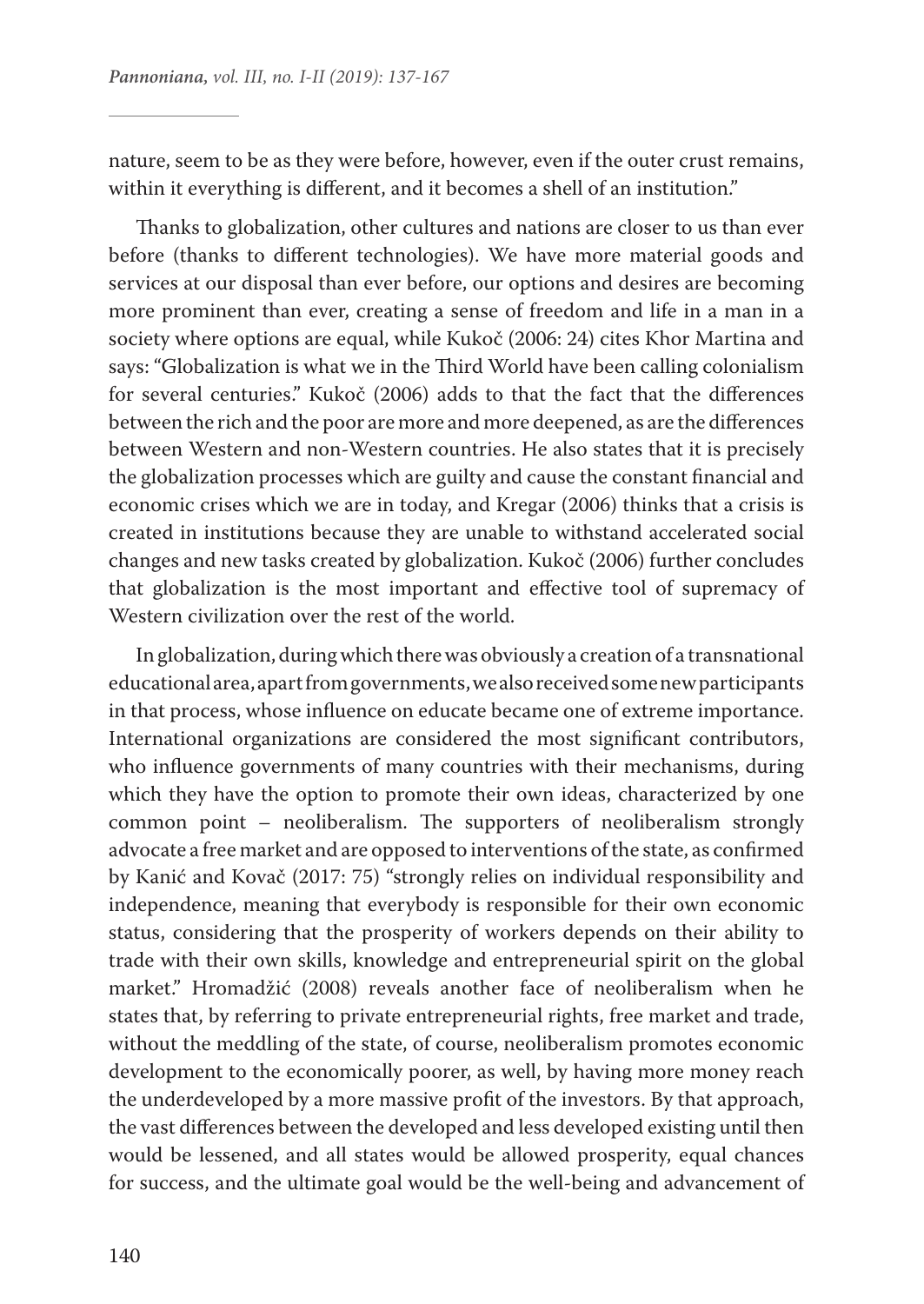nature, seem to be as they were before, however, even if the outer crust remains, within it everything is different, and it becomes a shell of an institution."

Thanks to globalization, other cultures and nations are closer to us than ever before (thanks to different technologies). We have more material goods and services at our disposal than ever before, our options and desires are becoming more prominent than ever, creating a sense of freedom and life in a man in a society where options are equal, while Kukoč (2006: 24) cites Khor Martina and says: "Globalization is what we in the Third World have been calling colonialism for several centuries." Kukoč (2006) adds to that the fact that the differences between the rich and the poor are more and more deepened, as are the differences between Western and non-Western countries. He also states that it is precisely the globalization processes which are guilty and cause the constant financial and economic crises which we are in today, and Kregar (2006) thinks that a crisis is created in institutions because they are unable to withstand accelerated social changes and new tasks created by globalization. Kukoč (2006) further concludes that globalization is the most important and effective tool of supremacy of Western civilization over the rest of the world.

In globalization, during which there was obviously a creation of a transnational educational area, apart from governments, we also received some new participants in that process, whose influence on educate became one of extreme importance. International organizations are considered the most significant contributors, who influence governments of many countries with their mechanisms, during which they have the option to promote their own ideas, characterized by one common point – neoliberalism. The supporters of neoliberalism strongly advocate a free market and are opposed to interventions of the state, as confirmed by Kanić and Kovač (2017: 75) "strongly relies on individual responsibility and independence, meaning that everybody is responsible for their own economic status, considering that the prosperity of workers depends on their ability to trade with their own skills, knowledge and entrepreneurial spirit on the global market." Hromadžić (2008) reveals another face of neoliberalism when he states that, by referring to private entrepreneurial rights, free market and trade, without the meddling of the state, of course, neoliberalism promotes economic development to the economically poorer, as well, by having more money reach the underdeveloped by a more massive profit of the investors. By that approach, the vast differences between the developed and less developed existing until then would be lessened, and all states would be allowed prosperity, equal chances for success, and the ultimate goal would be the well-being and advancement of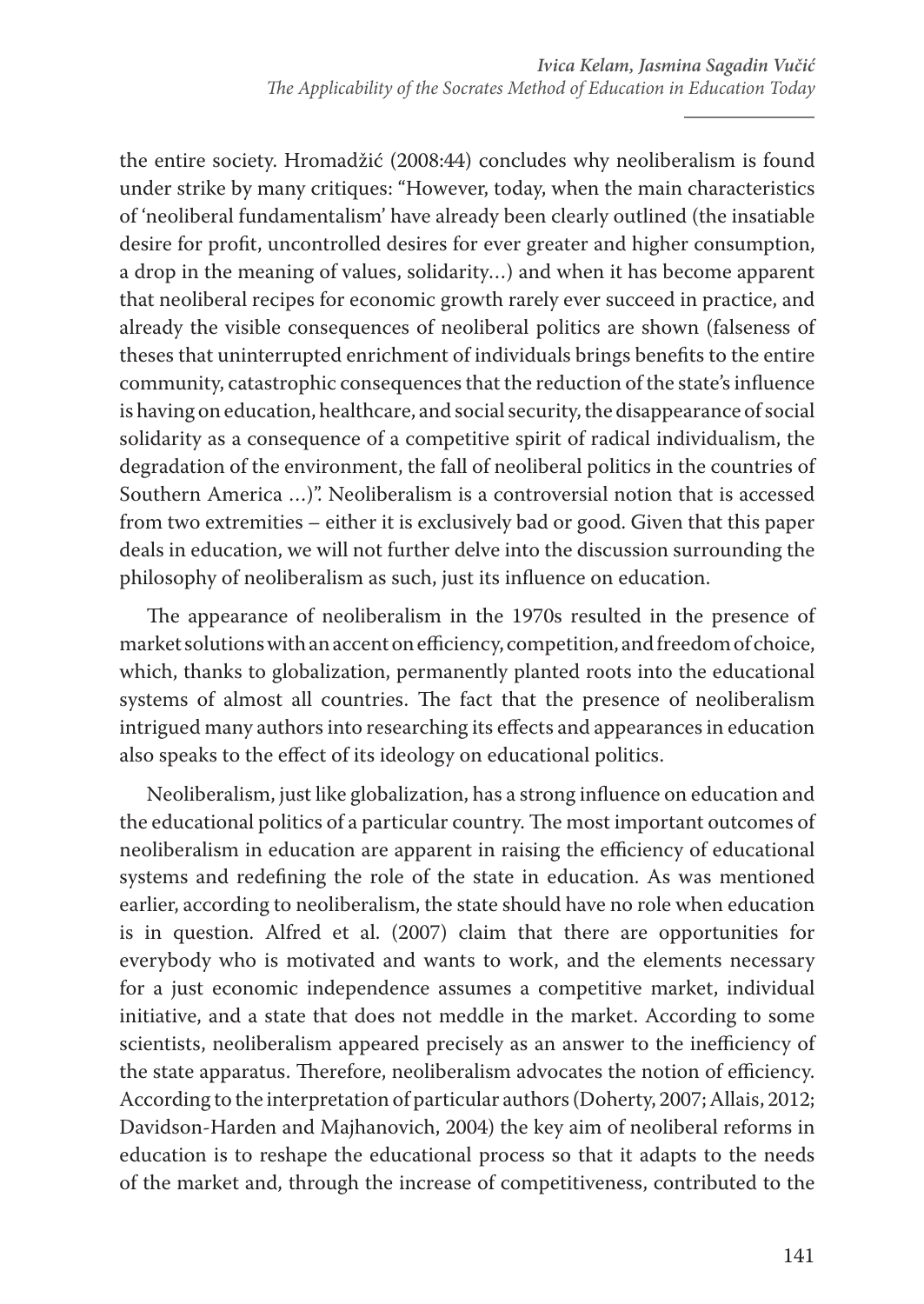the entire society. Hromadžić (2008:44) concludes why neoliberalism is found under strike by many critiques: "However, today, when the main characteristics of 'neoliberal fundamentalism' have already been clearly outlined (the insatiable desire for profit, uncontrolled desires for ever greater and higher consumption, a drop in the meaning of values, solidarity…) and when it has become apparent that neoliberal recipes for economic growth rarely ever succeed in practice, and already the visible consequences of neoliberal politics are shown (falseness of theses that uninterrupted enrichment of individuals brings benefits to the entire community, catastrophic consequences that the reduction of the state's influence is having on education, healthcare, and social security, the disappearance of social solidarity as a consequence of a competitive spirit of radical individualism, the degradation of the environment, the fall of neoliberal politics in the countries of Southern America …)". Neoliberalism is a controversial notion that is accessed from two extremities – either it is exclusively bad or good. Given that this paper deals in education, we will not further delve into the discussion surrounding the philosophy of neoliberalism as such, just its influence on education.

The appearance of neoliberalism in the 1970s resulted in the presence of market solutions with an accent on efficiency, competition, and freedom of choice, which, thanks to globalization, permanently planted roots into the educational systems of almost all countries. The fact that the presence of neoliberalism intrigued many authors into researching its effects and appearances in education also speaks to the effect of its ideology on educational politics.

Neoliberalism, just like globalization, has a strong influence on education and the educational politics of a particular country. The most important outcomes of neoliberalism in education are apparent in raising the efficiency of educational systems and redefining the role of the state in education. As was mentioned earlier, according to neoliberalism, the state should have no role when education is in question. Alfred et al. (2007) claim that there are opportunities for everybody who is motivated and wants to work, and the elements necessary for a just economic independence assumes a competitive market, individual initiative, and a state that does not meddle in the market. According to some scientists, neoliberalism appeared precisely as an answer to the inefficiency of the state apparatus. Therefore, neoliberalism advocates the notion of efficiency. According to the interpretation of particular authors (Doherty, 2007; Allais, 2012; Davidson-Harden and Majhanovich, 2004) the key aim of neoliberal reforms in education is to reshape the educational process so that it adapts to the needs of the market and, through the increase of competitiveness, contributed to the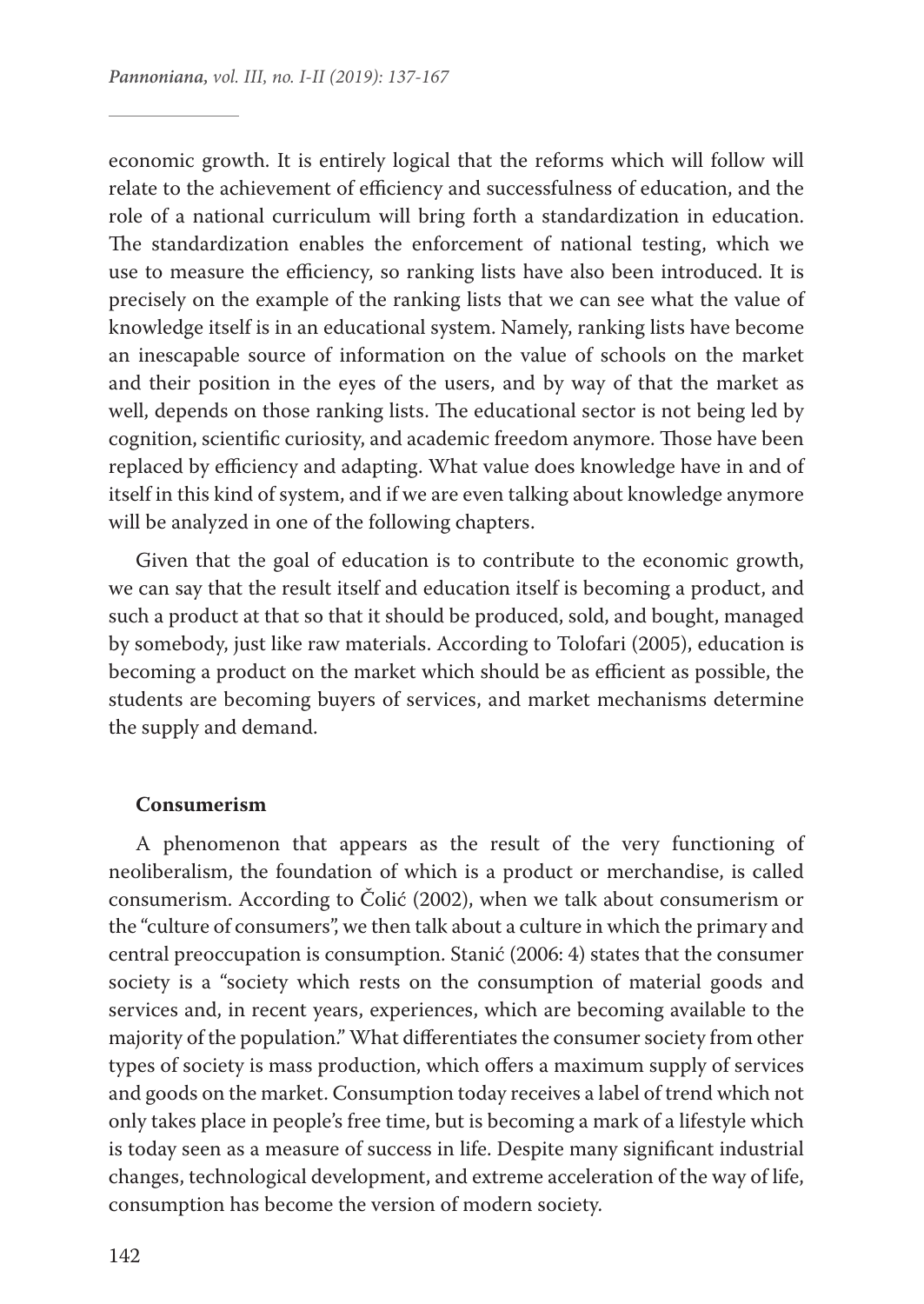economic growth. It is entirely logical that the reforms which will follow will relate to the achievement of efficiency and successfulness of education, and the role of a national curriculum will bring forth a standardization in education. The standardization enables the enforcement of national testing, which we use to measure the efficiency, so ranking lists have also been introduced. It is precisely on the example of the ranking lists that we can see what the value of knowledge itself is in an educational system. Namely, ranking lists have become an inescapable source of information on the value of schools on the market and their position in the eyes of the users, and by way of that the market as well, depends on those ranking lists. The educational sector is not being led by cognition, scientific curiosity, and academic freedom anymore. Those have been replaced by efficiency and adapting. What value does knowledge have in and of itself in this kind of system, and if we are even talking about knowledge anymore will be analyzed in one of the following chapters.

Given that the goal of education is to contribute to the economic growth, we can say that the result itself and education itself is becoming a product, and such a product at that so that it should be produced, sold, and bought, managed by somebody, just like raw materials. According to Tolofari (2005), education is becoming a product on the market which should be as efficient as possible, the students are becoming buyers of services, and market mechanisms determine the supply and demand.

#### **Consumerism**

A phenomenon that appears as the result of the very functioning of neoliberalism, the foundation of which is a product or merchandise, is called consumerism. According to Čolić (2002), when we talk about consumerism or the "culture of consumers", we then talk about a culture in which the primary and central preoccupation is consumption. Stanić (2006: 4) states that the consumer society is a "society which rests on the consumption of material goods and services and, in recent years, experiences, which are becoming available to the majority of the population." What differentiates the consumer society from other types of society is mass production, which offers a maximum supply of services and goods on the market. Consumption today receives a label of trend which not only takes place in people's free time, but is becoming a mark of a lifestyle which is today seen as a measure of success in life. Despite many significant industrial changes, technological development, and extreme acceleration of the way of life, consumption has become the version of modern society.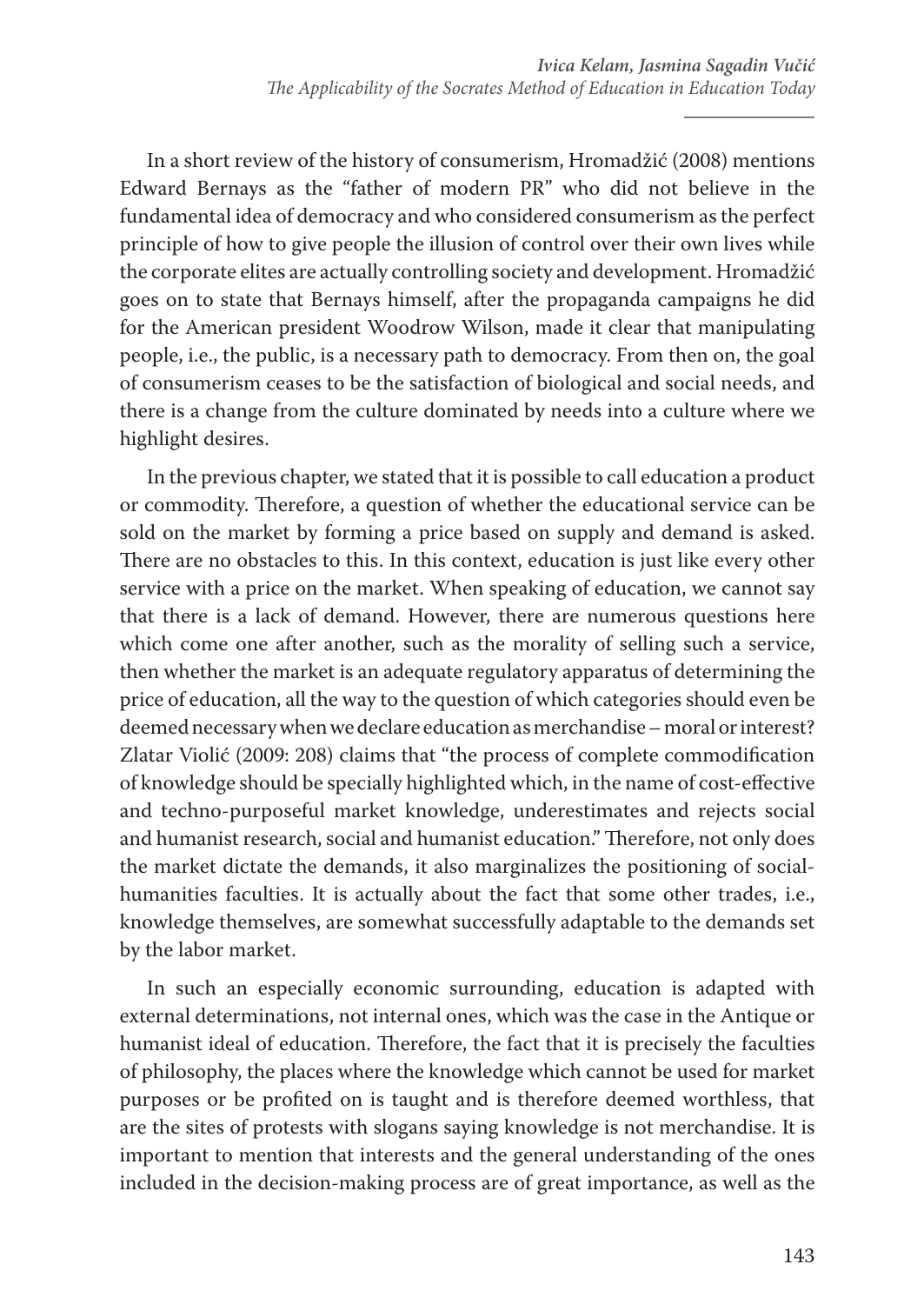In a short review of the history of consumerism, Hromadžić (2008) mentions Edward Bernays as the "father of modern PR" who did not believe in the fundamental idea of democracy and who considered consumerism as the perfect principle of how to give people the illusion of control over their own lives while the corporate elites are actually controlling society and development. Hromadžić goes on to state that Bernays himself, after the propaganda campaigns he did for the American president Woodrow Wilson, made it clear that manipulating people, i.e., the public, is a necessary path to democracy. From then on, the goal of consumerism ceases to be the satisfaction of biological and social needs, and there is a change from the culture dominated by needs into a culture where we highlight desires.

In the previous chapter, we stated that it is possible to call education a product or commodity. Therefore, a question of whether the educational service can be sold on the market by forming a price based on supply and demand is asked. There are no obstacles to this. In this context, education is just like every other service with a price on the market. When speaking of education, we cannot say that there is a lack of demand. However, there are numerous questions here which come one after another, such as the morality of selling such a service, then whether the market is an adequate regulatory apparatus of determining the price of education, all the way to the question of which categories should even be deemed necessary when we declare education as merchandise – moral or interest? Zlatar Violić (2009: 208) claims that "the process of complete commodification of knowledge should be specially highlighted which, in the name of cost-effective and techno-purposeful market knowledge, underestimates and rejects social and humanist research, social and humanist education." Therefore, not only does the market dictate the demands, it also marginalizes the positioning of socialhumanities faculties. It is actually about the fact that some other trades, i.e., knowledge themselves, are somewhat successfully adaptable to the demands set by the labor market.

In such an especially economic surrounding, education is adapted with external determinations, not internal ones, which was the case in the Antique or humanist ideal of education. Therefore, the fact that it is precisely the faculties of philosophy, the places where the knowledge which cannot be used for market purposes or be profited on is taught and is therefore deemed worthless, that are the sites of protests with slogans saying knowledge is not merchandise. It is important to mention that interests and the general understanding of the ones included in the decision-making process are of great importance, as well as the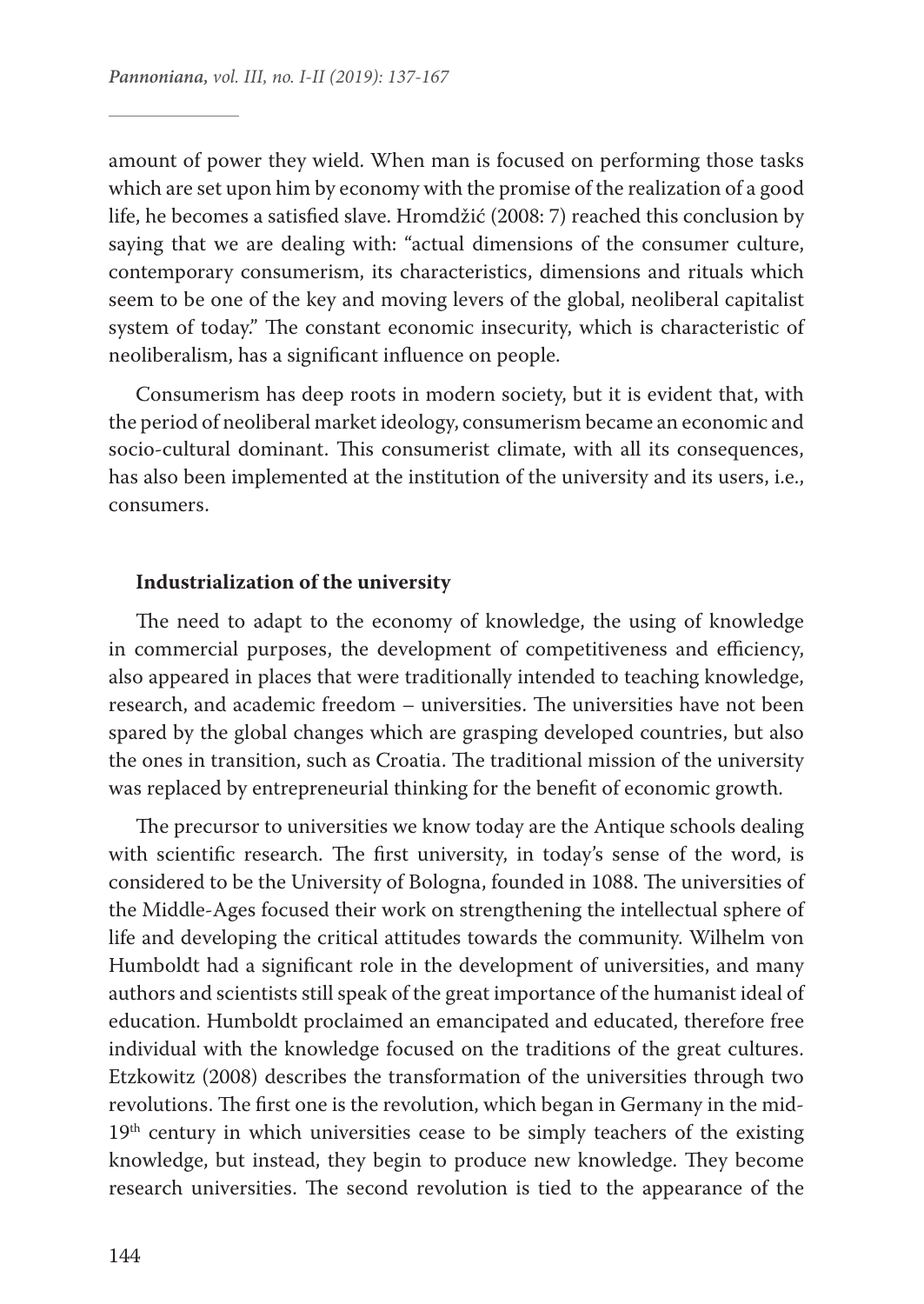amount of power they wield. When man is focused on performing those tasks which are set upon him by economy with the promise of the realization of a good life, he becomes a satisfied slave. Hromdžić (2008: 7) reached this conclusion by saying that we are dealing with: "actual dimensions of the consumer culture, contemporary consumerism, its characteristics, dimensions and rituals which seem to be one of the key and moving levers of the global, neoliberal capitalist system of today." The constant economic insecurity, which is characteristic of neoliberalism, has a significant influence on people.

Consumerism has deep roots in modern society, but it is evident that, with the period of neoliberal market ideology, consumerism became an economic and socio-cultural dominant. This consumerist climate, with all its consequences, has also been implemented at the institution of the university and its users, i.e., consumers.

### **Industrialization of the university**

The need to adapt to the economy of knowledge, the using of knowledge in commercial purposes, the development of competitiveness and efficiency, also appeared in places that were traditionally intended to teaching knowledge, research, and academic freedom – universities. The universities have not been spared by the global changes which are grasping developed countries, but also the ones in transition, such as Croatia. The traditional mission of the university was replaced by entrepreneurial thinking for the benefit of economic growth.

The precursor to universities we know today are the Antique schools dealing with scientific research. The first university, in today's sense of the word, is considered to be the University of Bologna, founded in 1088. The universities of the Middle-Ages focused their work on strengthening the intellectual sphere of life and developing the critical attitudes towards the community. Wilhelm von Humboldt had a significant role in the development of universities, and many authors and scientists still speak of the great importance of the humanist ideal of education. Humboldt proclaimed an emancipated and educated, therefore free individual with the knowledge focused on the traditions of the great cultures. Etzkowitz (2008) describes the transformation of the universities through two revolutions. The first one is the revolution, which began in Germany in the mid-19<sup>th</sup> century in which universities cease to be simply teachers of the existing knowledge, but instead, they begin to produce new knowledge. They become research universities. The second revolution is tied to the appearance of the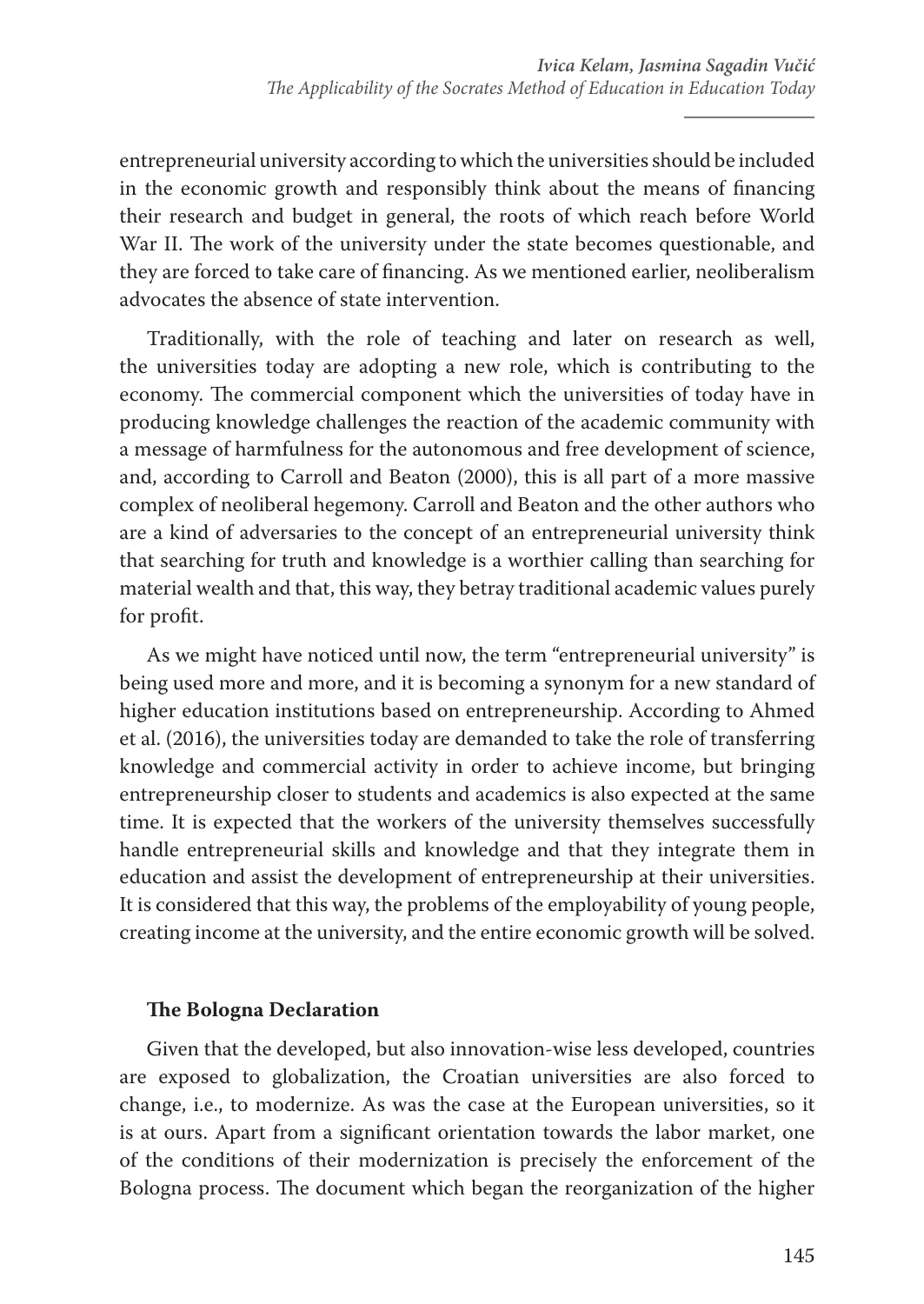entrepreneurial university according to which the universities should be included in the economic growth and responsibly think about the means of financing their research and budget in general, the roots of which reach before World War II. The work of the university under the state becomes questionable, and they are forced to take care of financing. As we mentioned earlier, neoliberalism advocates the absence of state intervention.

Traditionally, with the role of teaching and later on research as well, the universities today are adopting a new role, which is contributing to the economy. The commercial component which the universities of today have in producing knowledge challenges the reaction of the academic community with a message of harmfulness for the autonomous and free development of science, and, according to Carroll and Beaton (2000), this is all part of a more massive complex of neoliberal hegemony. Carroll and Beaton and the other authors who are a kind of adversaries to the concept of an entrepreneurial university think that searching for truth and knowledge is a worthier calling than searching for material wealth and that, this way, they betray traditional academic values purely for profit.

As we might have noticed until now, the term "entrepreneurial university" is being used more and more, and it is becoming a synonym for a new standard of higher education institutions based on entrepreneurship. According to Ahmed et al. (2016), the universities today are demanded to take the role of transferring knowledge and commercial activity in order to achieve income, but bringing entrepreneurship closer to students and academics is also expected at the same time. It is expected that the workers of the university themselves successfully handle entrepreneurial skills and knowledge and that they integrate them in education and assist the development of entrepreneurship at their universities. It is considered that this way, the problems of the employability of young people, creating income at the university, and the entire economic growth will be solved.

# **The Bologna Declaration**

Given that the developed, but also innovation-wise less developed, countries are exposed to globalization, the Croatian universities are also forced to change, i.e., to modernize. As was the case at the European universities, so it is at ours. Apart from a significant orientation towards the labor market, one of the conditions of their modernization is precisely the enforcement of the Bologna process. The document which began the reorganization of the higher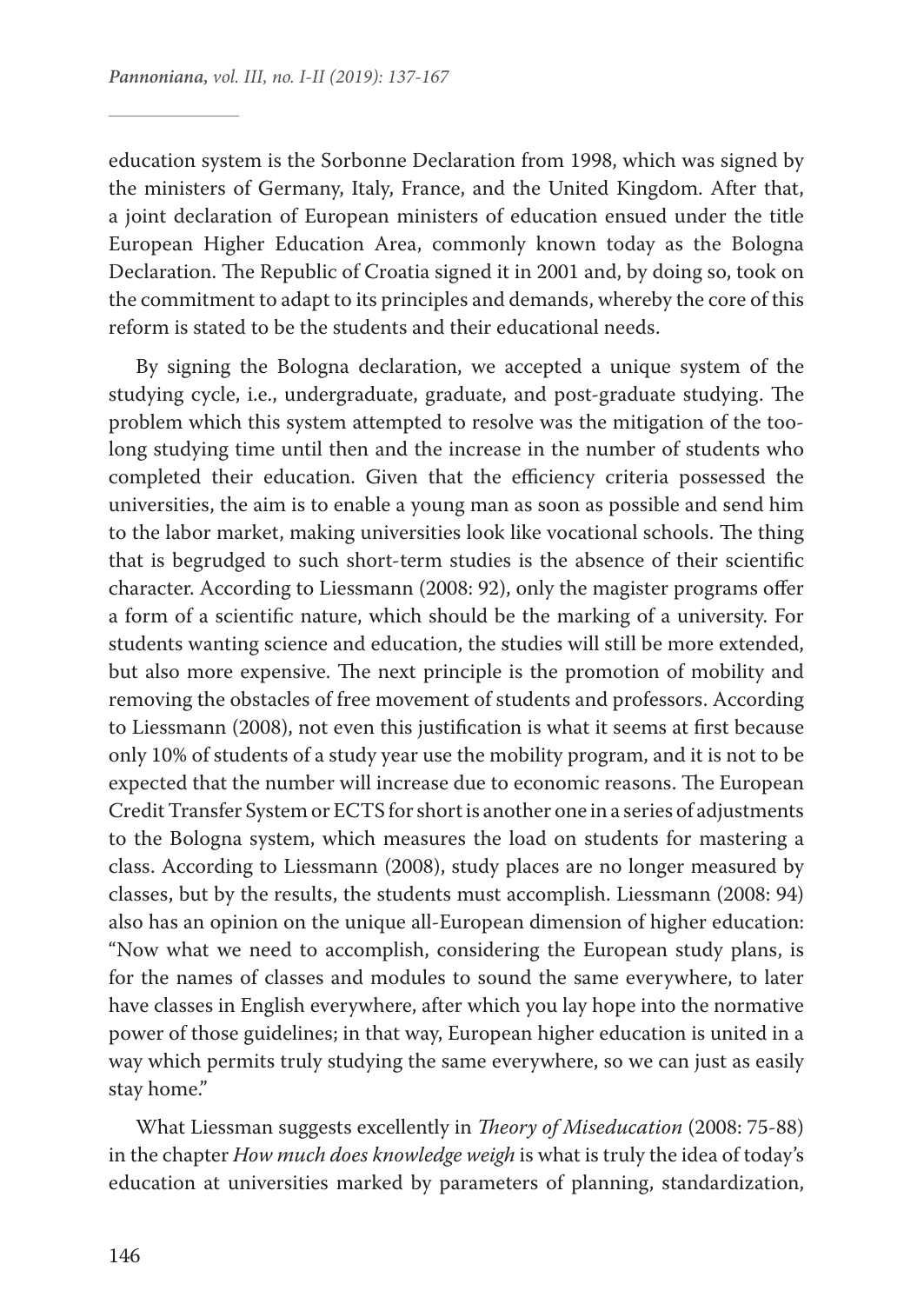education system is the Sorbonne Declaration from 1998, which was signed by the ministers of Germany, Italy, France, and the United Kingdom. After that, a joint declaration of European ministers of education ensued under the title European Higher Education Area, commonly known today as the Bologna Declaration. The Republic of Croatia signed it in 2001 and, by doing so, took on the commitment to adapt to its principles and demands, whereby the core of this reform is stated to be the students and their educational needs.

By signing the Bologna declaration, we accepted a unique system of the studying cycle, i.e., undergraduate, graduate, and post-graduate studying. The problem which this system attempted to resolve was the mitigation of the toolong studying time until then and the increase in the number of students who completed their education. Given that the efficiency criteria possessed the universities, the aim is to enable a young man as soon as possible and send him to the labor market, making universities look like vocational schools. The thing that is begrudged to such short-term studies is the absence of their scientific character. According to Liessmann (2008: 92), only the magister programs offer a form of a scientific nature, which should be the marking of a university. For students wanting science and education, the studies will still be more extended, but also more expensive. The next principle is the promotion of mobility and removing the obstacles of free movement of students and professors. According to Liessmann (2008), not even this justification is what it seems at first because only 10% of students of a study year use the mobility program, and it is not to be expected that the number will increase due to economic reasons. The European Credit Transfer System or ECTS for short is another one in a series of adjustments to the Bologna system, which measures the load on students for mastering a class. According to Liessmann (2008), study places are no longer measured by classes, but by the results, the students must accomplish. Liessmann (2008: 94) also has an opinion on the unique all-European dimension of higher education: "Now what we need to accomplish, considering the European study plans, is for the names of classes and modules to sound the same everywhere, to later have classes in English everywhere, after which you lay hope into the normative power of those guidelines; in that way, European higher education is united in a way which permits truly studying the same everywhere, so we can just as easily stay home."

What Liessman suggests excellently in *Theory of Miseducation* (2008: 75-88) in the chapter *How much does knowledge weigh* is what is truly the idea of today's education at universities marked by parameters of planning, standardization,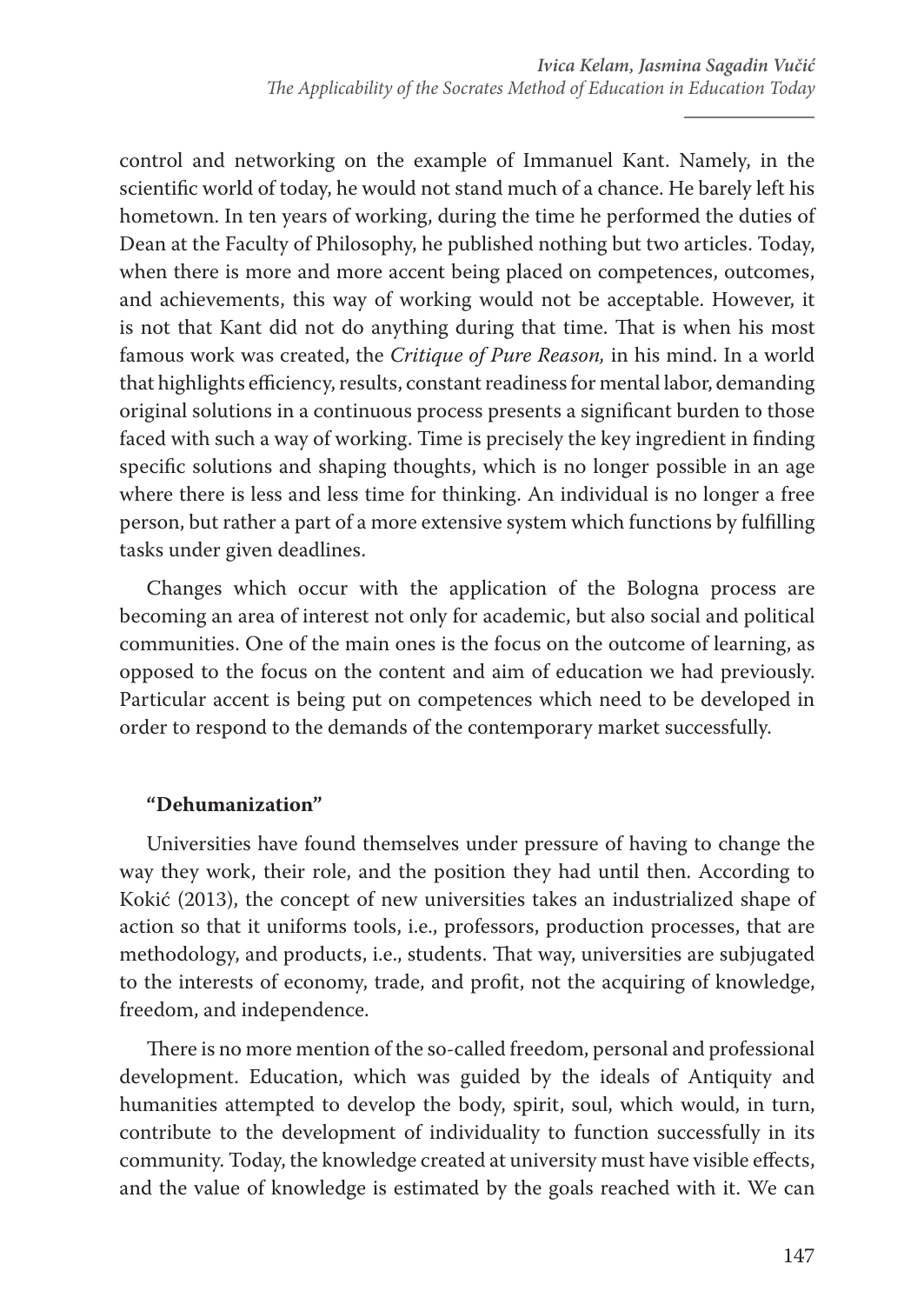control and networking on the example of Immanuel Kant. Namely, in the scientific world of today, he would not stand much of a chance. He barely left his hometown. In ten years of working, during the time he performed the duties of Dean at the Faculty of Philosophy, he published nothing but two articles. Today, when there is more and more accent being placed on competences, outcomes, and achievements, this way of working would not be acceptable. However, it is not that Kant did not do anything during that time. That is when his most famous work was created, the *Critique of Pure Reason,* in his mind. In a world that highlights efficiency, results, constant readiness for mental labor, demanding original solutions in a continuous process presents a significant burden to those faced with such a way of working. Time is precisely the key ingredient in finding specific solutions and shaping thoughts, which is no longer possible in an age where there is less and less time for thinking. An individual is no longer a free person, but rather a part of a more extensive system which functions by fulfilling tasks under given deadlines.

Changes which occur with the application of the Bologna process are becoming an area of interest not only for academic, but also social and political communities. One of the main ones is the focus on the outcome of learning, as opposed to the focus on the content and aim of education we had previously. Particular accent is being put on competences which need to be developed in order to respond to the demands of the contemporary market successfully.

# **"Dehumanization"**

Universities have found themselves under pressure of having to change the way they work, their role, and the position they had until then. According to Kokić (2013), the concept of new universities takes an industrialized shape of action so that it uniforms tools, i.e., professors, production processes, that are methodology, and products, i.e., students. That way, universities are subjugated to the interests of economy, trade, and profit, not the acquiring of knowledge, freedom, and independence.

There is no more mention of the so-called freedom, personal and professional development. Education, which was guided by the ideals of Antiquity and humanities attempted to develop the body, spirit, soul, which would, in turn, contribute to the development of individuality to function successfully in its community. Today, the knowledge created at university must have visible effects, and the value of knowledge is estimated by the goals reached with it. We can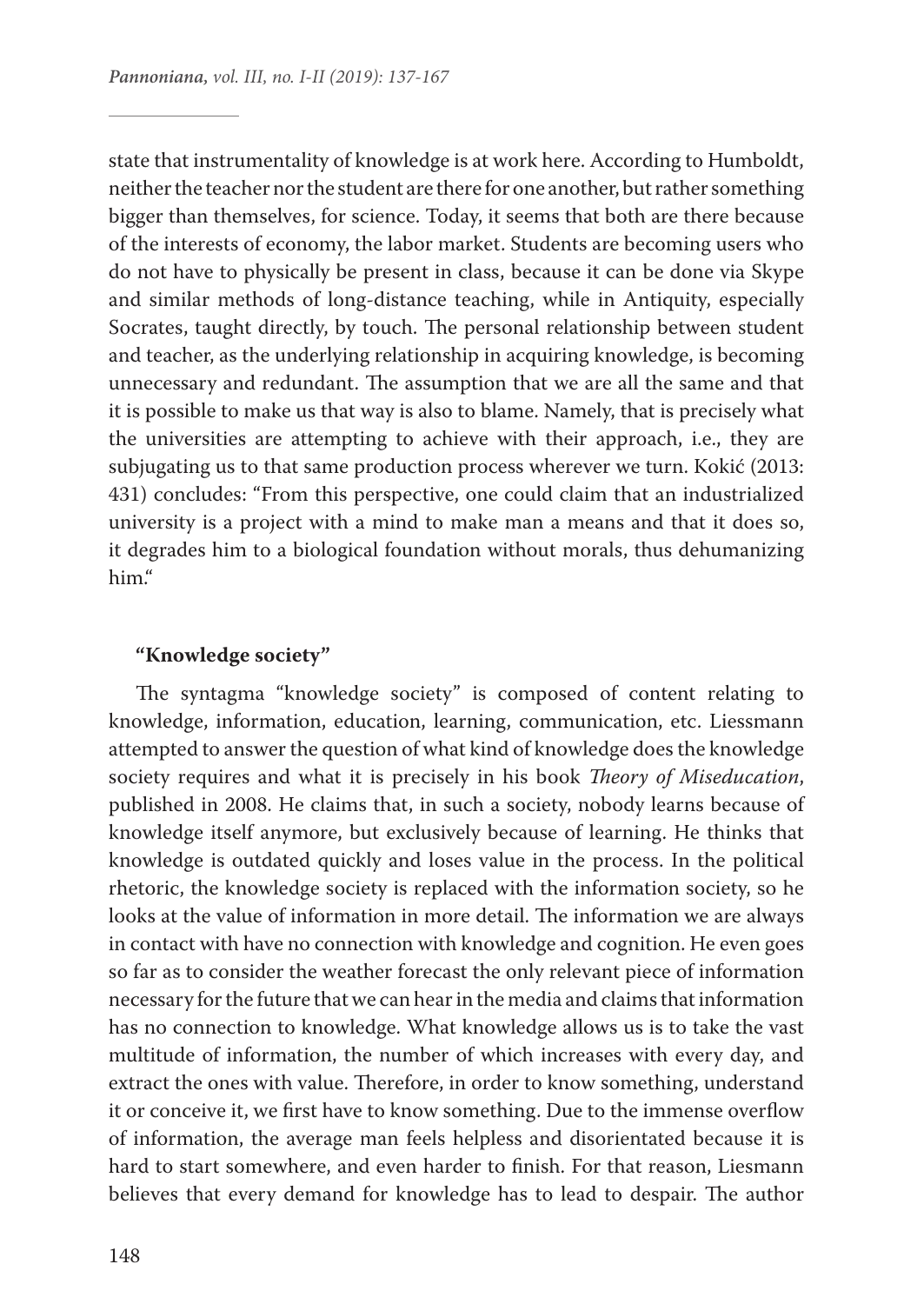state that instrumentality of knowledge is at work here. According to Humboldt, neither the teacher nor the student are there for one another, but rather something bigger than themselves, for science. Today, it seems that both are there because of the interests of economy, the labor market. Students are becoming users who do not have to physically be present in class, because it can be done via Skype and similar methods of long-distance teaching, while in Antiquity, especially Socrates, taught directly, by touch. The personal relationship between student and teacher, as the underlying relationship in acquiring knowledge, is becoming unnecessary and redundant. The assumption that we are all the same and that it is possible to make us that way is also to blame. Namely, that is precisely what the universities are attempting to achieve with their approach, i.e., they are subjugating us to that same production process wherever we turn. Kokić (2013: 431) concludes: "From this perspective, one could claim that an industrialized university is a project with a mind to make man a means and that it does so, it degrades him to a biological foundation without morals, thus dehumanizing him."

## **"Knowledge society"**

The syntagma "knowledge society" is composed of content relating to knowledge, information, education, learning, communication, etc. Liessmann attempted to answer the question of what kind of knowledge does the knowledge society requires and what it is precisely in his book *Theory of Miseducation*, published in 2008. He claims that, in such a society, nobody learns because of knowledge itself anymore, but exclusively because of learning. He thinks that knowledge is outdated quickly and loses value in the process. In the political rhetoric, the knowledge society is replaced with the information society, so he looks at the value of information in more detail. The information we are always in contact with have no connection with knowledge and cognition. He even goes so far as to consider the weather forecast the only relevant piece of information necessary for the future that we can hear in the media and claims that information has no connection to knowledge. What knowledge allows us is to take the vast multitude of information, the number of which increases with every day, and extract the ones with value. Therefore, in order to know something, understand it or conceive it, we first have to know something. Due to the immense overflow of information, the average man feels helpless and disorientated because it is hard to start somewhere, and even harder to finish. For that reason, Liesmann believes that every demand for knowledge has to lead to despair. The author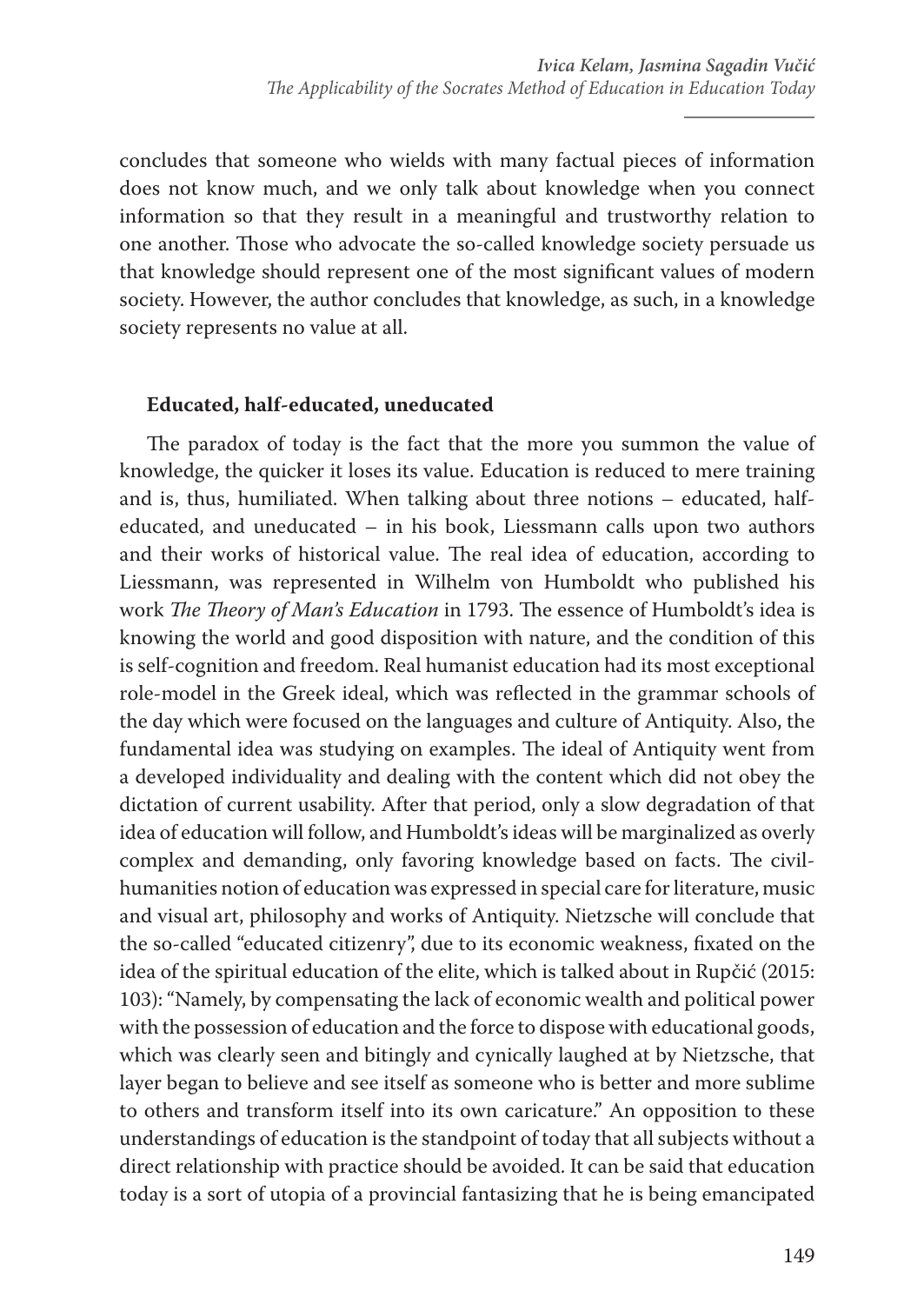concludes that someone who wields with many factual pieces of information does not know much, and we only talk about knowledge when you connect information so that they result in a meaningful and trustworthy relation to one another. Those who advocate the so-called knowledge society persuade us that knowledge should represent one of the most significant values of modern society. However, the author concludes that knowledge, as such, in a knowledge society represents no value at all.

## **Educated, half-educated, uneducated**

The paradox of today is the fact that the more you summon the value of knowledge, the quicker it loses its value. Education is reduced to mere training and is, thus, humiliated. When talking about three notions – educated, halfeducated, and uneducated – in his book, Liessmann calls upon two authors and their works of historical value. The real idea of education, according to Liessmann, was represented in Wilhelm von Humboldt who published his work *The Theory of Man's Education* in 1793. The essence of Humboldt's idea is knowing the world and good disposition with nature, and the condition of this is self-cognition and freedom. Real humanist education had its most exceptional role-model in the Greek ideal, which was reflected in the grammar schools of the day which were focused on the languages and culture of Antiquity. Also, the fundamental idea was studying on examples. The ideal of Antiquity went from a developed individuality and dealing with the content which did not obey the dictation of current usability. After that period, only a slow degradation of that idea of education will follow, and Humboldt's ideas will be marginalized as overly complex and demanding, only favoring knowledge based on facts. The civilhumanities notion of education was expressed in special care for literature, music and visual art, philosophy and works of Antiquity. Nietzsche will conclude that the so-called "educated citizenry", due to its economic weakness, fixated on the idea of the spiritual education of the elite, which is talked about in Rupčić (2015: 103): "Namely, by compensating the lack of economic wealth and political power with the possession of education and the force to dispose with educational goods, which was clearly seen and bitingly and cynically laughed at by Nietzsche, that layer began to believe and see itself as someone who is better and more sublime to others and transform itself into its own caricature." An opposition to these understandings of education is the standpoint of today that all subjects without a direct relationship with practice should be avoided. It can be said that education today is a sort of utopia of a provincial fantasizing that he is being emancipated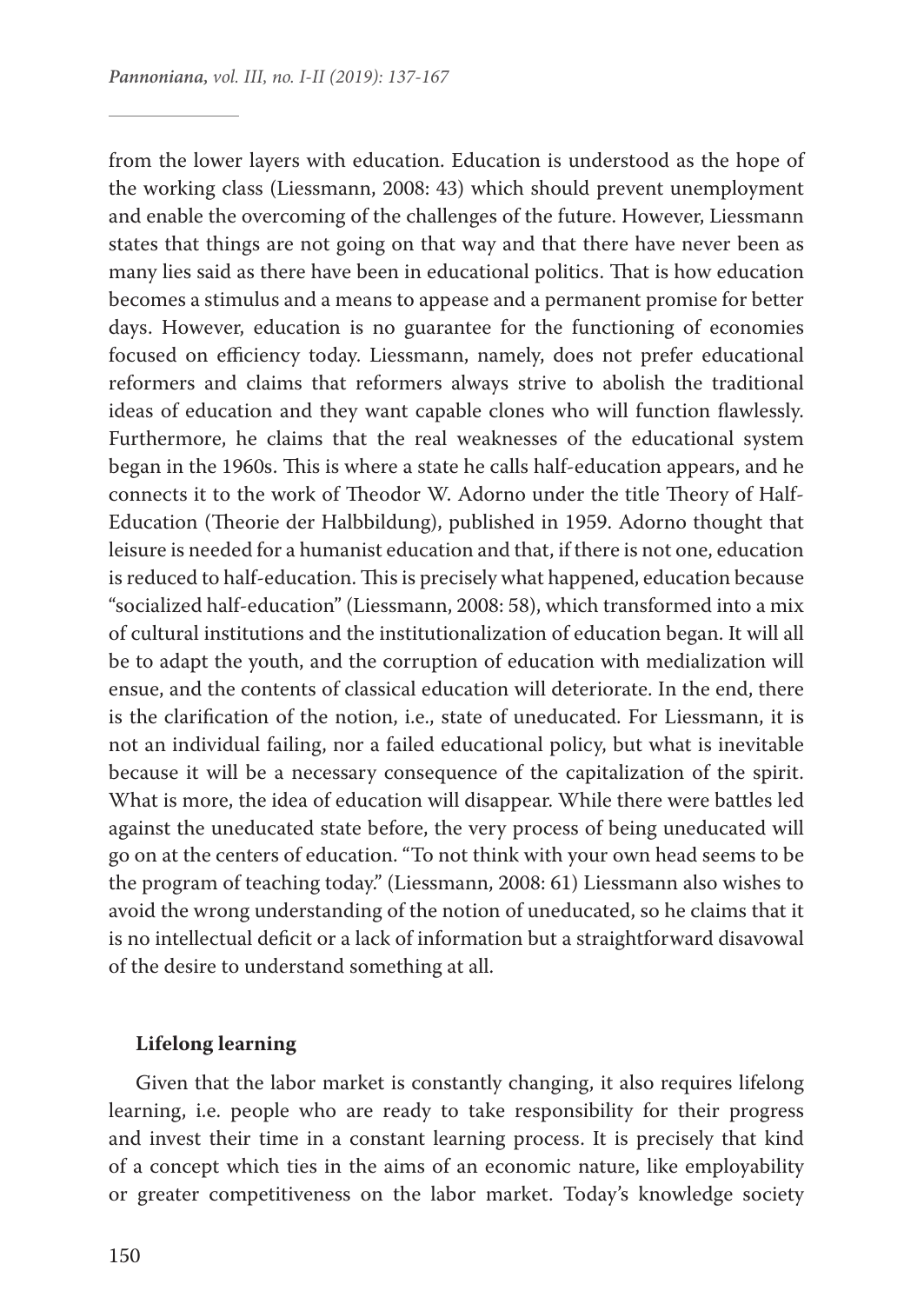from the lower layers with education. Education is understood as the hope of the working class (Liessmann, 2008: 43) which should prevent unemployment and enable the overcoming of the challenges of the future. However, Liessmann states that things are not going on that way and that there have never been as many lies said as there have been in educational politics. That is how education becomes a stimulus and a means to appease and a permanent promise for better days. However, education is no guarantee for the functioning of economies focused on efficiency today. Liessmann, namely, does not prefer educational reformers and claims that reformers always strive to abolish the traditional ideas of education and they want capable clones who will function flawlessly. Furthermore, he claims that the real weaknesses of the educational system began in the 1960s. This is where a state he calls half-education appears, and he connects it to the work of Theodor W. Adorno under the title Theory of Half-Education (Theorie der Halbbildung), published in 1959. Adorno thought that leisure is needed for a humanist education and that, if there is not one, education is reduced to half-education. This is precisely what happened, education because "socialized half-education" (Liessmann, 2008: 58), which transformed into a mix of cultural institutions and the institutionalization of education began. It will all be to adapt the youth, and the corruption of education with medialization will ensue, and the contents of classical education will deteriorate. In the end, there is the clarification of the notion, i.e., state of uneducated. For Liessmann, it is not an individual failing, nor a failed educational policy, but what is inevitable because it will be a necessary consequence of the capitalization of the spirit. What is more, the idea of education will disappear. While there were battles led against the uneducated state before, the very process of being uneducated will go on at the centers of education. "To not think with your own head seems to be the program of teaching today." (Liessmann, 2008: 61) Liessmann also wishes to avoid the wrong understanding of the notion of uneducated, so he claims that it is no intellectual deficit or a lack of information but a straightforward disavowal of the desire to understand something at all.

### **Lifelong learning**

Given that the labor market is constantly changing, it also requires lifelong learning, i.e. people who are ready to take responsibility for their progress and invest their time in a constant learning process. It is precisely that kind of a concept which ties in the aims of an economic nature, like employability or greater competitiveness on the labor market. Today's knowledge society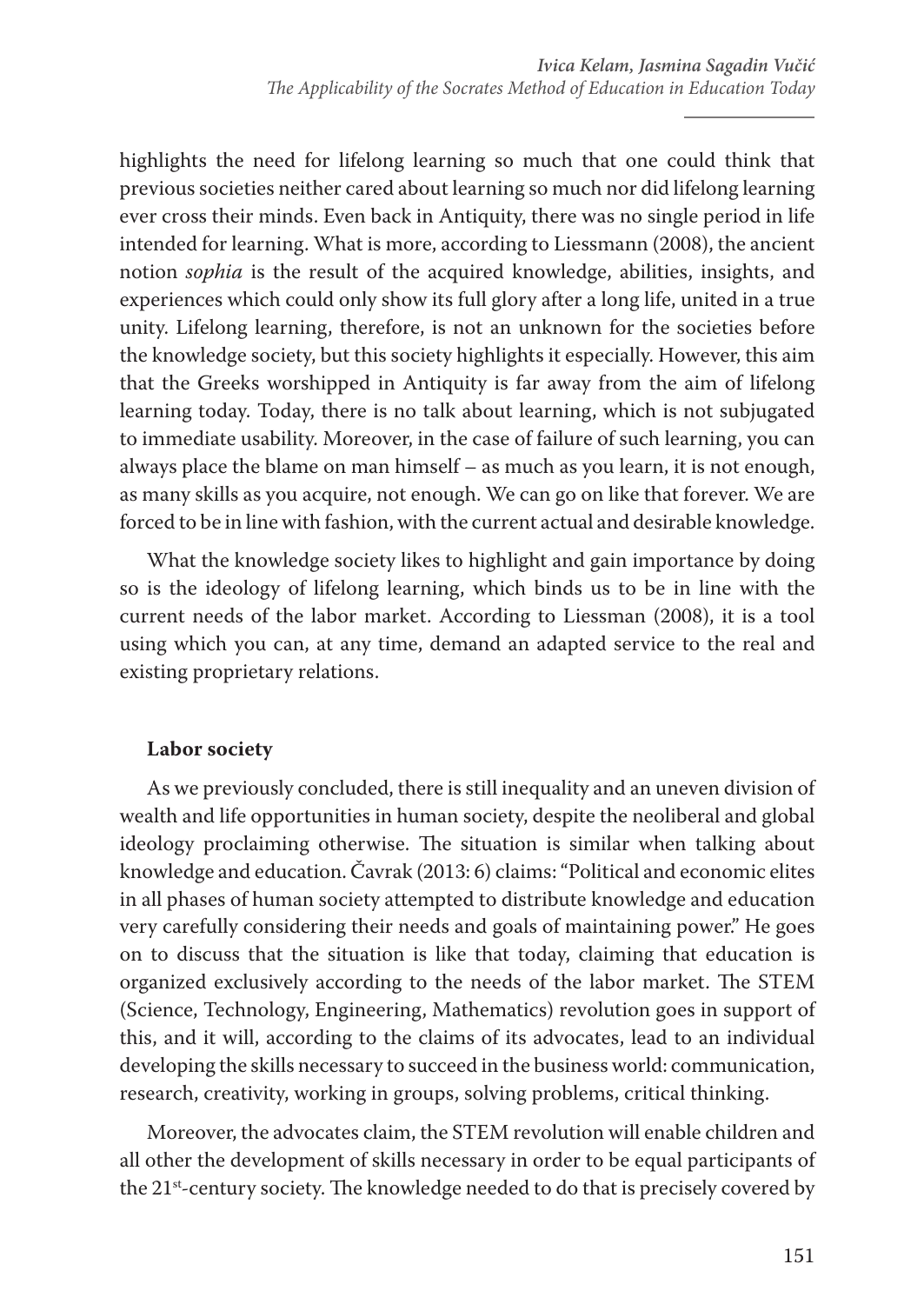highlights the need for lifelong learning so much that one could think that previous societies neither cared about learning so much nor did lifelong learning ever cross their minds. Even back in Antiquity, there was no single period in life intended for learning. What is more, according to Liessmann (2008), the ancient notion *sophia* is the result of the acquired knowledge, abilities, insights, and experiences which could only show its full glory after a long life, united in a true unity. Lifelong learning, therefore, is not an unknown for the societies before the knowledge society, but this society highlights it especially. However, this aim that the Greeks worshipped in Antiquity is far away from the aim of lifelong learning today. Today, there is no talk about learning, which is not subjugated to immediate usability. Moreover, in the case of failure of such learning, you can always place the blame on man himself – as much as you learn, it is not enough, as many skills as you acquire, not enough. We can go on like that forever. We are forced to be in line with fashion, with the current actual and desirable knowledge.

What the knowledge society likes to highlight and gain importance by doing so is the ideology of lifelong learning, which binds us to be in line with the current needs of the labor market. According to Liessman (2008), it is a tool using which you can, at any time, demand an adapted service to the real and existing proprietary relations.

# **Labor society**

As we previously concluded, there is still inequality and an uneven division of wealth and life opportunities in human society, despite the neoliberal and global ideology proclaiming otherwise. The situation is similar when talking about knowledge and education. Čavrak (2013: 6) claims: "Political and economic elites in all phases of human society attempted to distribute knowledge and education very carefully considering their needs and goals of maintaining power." He goes on to discuss that the situation is like that today, claiming that education is organized exclusively according to the needs of the labor market. The STEM (Science, Technology, Engineering, Mathematics) revolution goes in support of this, and it will, according to the claims of its advocates, lead to an individual developing the skills necessary to succeed in the business world: communication, research, creativity, working in groups, solving problems, critical thinking.

Moreover, the advocates claim, the STEM revolution will enable children and all other the development of skills necessary in order to be equal participants of the 21<sup>st</sup>-century society. The knowledge needed to do that is precisely covered by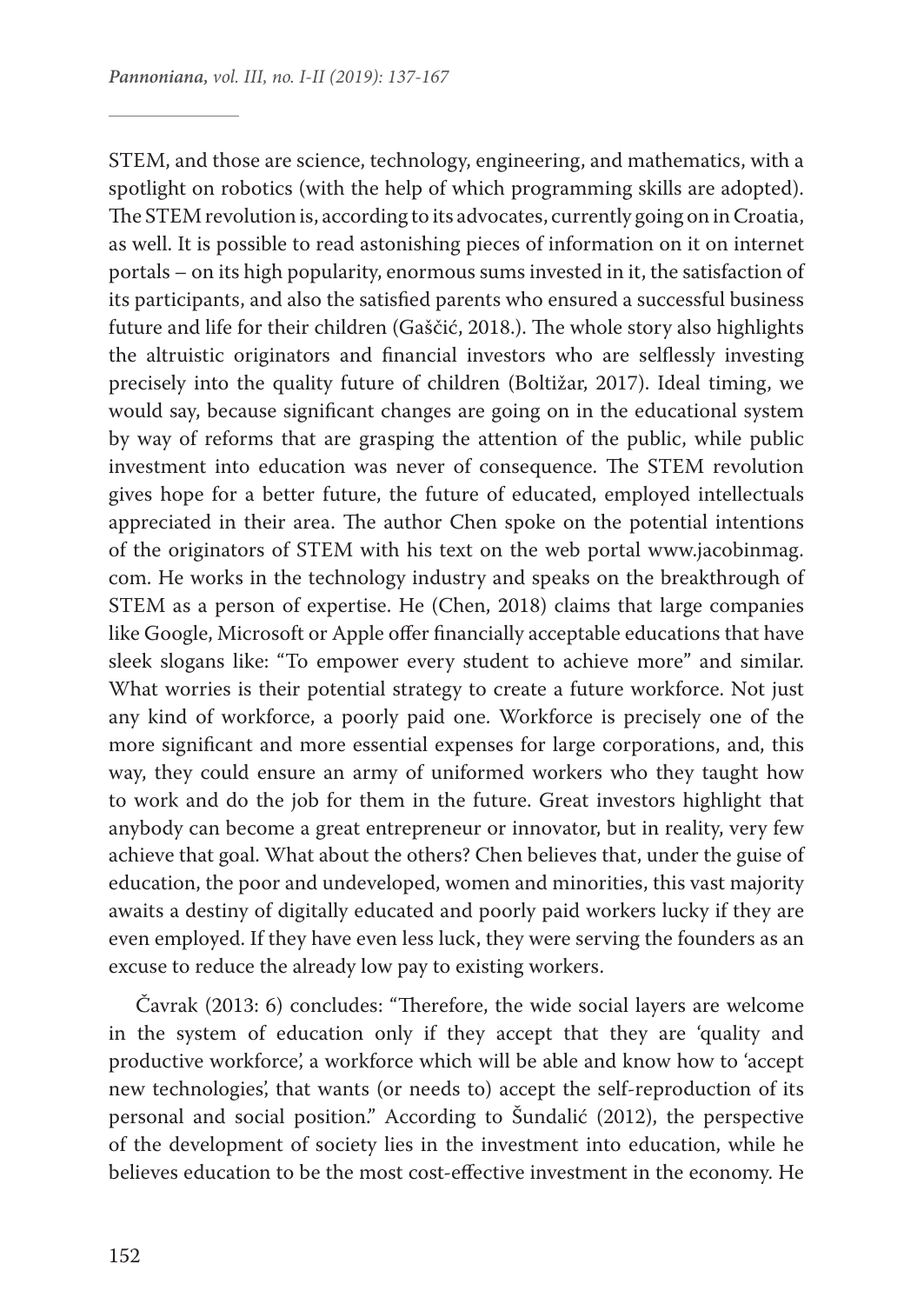STEM, and those are science, technology, engineering, and mathematics, with a spotlight on robotics (with the help of which programming skills are adopted). The STEM revolution is, according to its advocates, currently going on in Croatia, as well. It is possible to read astonishing pieces of information on it on internet portals – on its high popularity, enormous sums invested in it, the satisfaction of its participants, and also the satisfied parents who ensured a successful business future and life for their children (Gaščić, 2018.). The whole story also highlights the altruistic originators and financial investors who are selflessly investing precisely into the quality future of children (Boltižar, 2017). Ideal timing, we would say, because significant changes are going on in the educational system by way of reforms that are grasping the attention of the public, while public investment into education was never of consequence. The STEM revolution gives hope for a better future, the future of educated, employed intellectuals appreciated in their area. The author Chen spoke on the potential intentions of the originators of STEM with his text on the web portal www.jacobinmag. com. He works in the technology industry and speaks on the breakthrough of STEM as a person of expertise. He (Chen, 2018) claims that large companies like Google, Microsoft or Apple offer financially acceptable educations that have sleek slogans like: "To empower every student to achieve more" and similar. What worries is their potential strategy to create a future workforce. Not just any kind of workforce, a poorly paid one. Workforce is precisely one of the more significant and more essential expenses for large corporations, and, this way, they could ensure an army of uniformed workers who they taught how to work and do the job for them in the future. Great investors highlight that anybody can become a great entrepreneur or innovator, but in reality, very few achieve that goal. What about the others? Chen believes that, under the guise of education, the poor and undeveloped, women and minorities, this vast majority awaits a destiny of digitally educated and poorly paid workers lucky if they are even employed. If they have even less luck, they were serving the founders as an excuse to reduce the already low pay to existing workers.

Čavrak (2013: 6) concludes: "Therefore, the wide social layers are welcome in the system of education only if they accept that they are 'quality and productive workforce', a workforce which will be able and know how to 'accept new technologies', that wants (or needs to) accept the self-reproduction of its personal and social position." According to Šundalić (2012), the perspective of the development of society lies in the investment into education, while he believes education to be the most cost-effective investment in the economy. He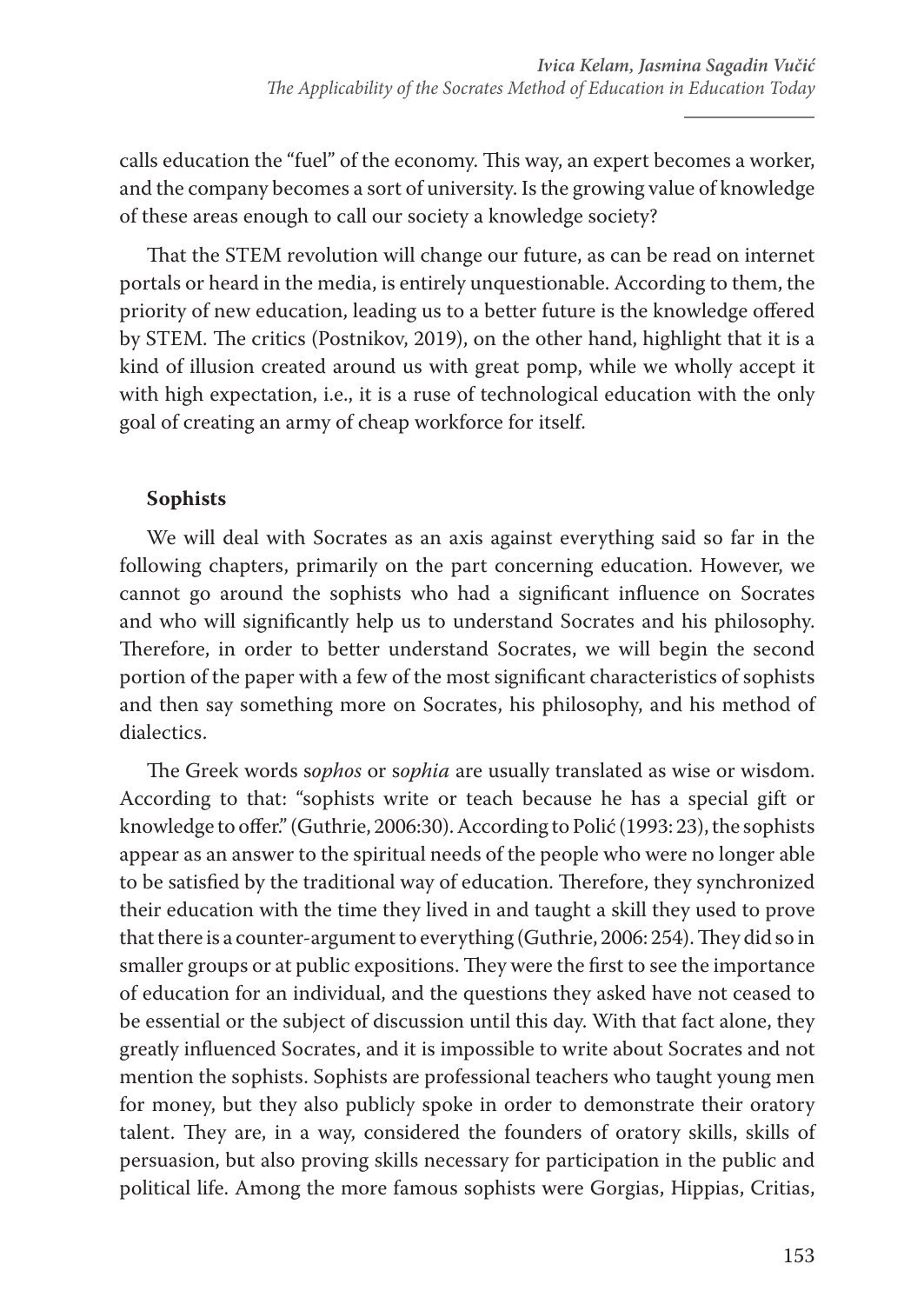calls education the "fuel" of the economy. This way, an expert becomes a worker, and the company becomes a sort of university. Is the growing value of knowledge of these areas enough to call our society a knowledge society?

That the STEM revolution will change our future, as can be read on internet portals or heard in the media, is entirely unquestionable. According to them, the priority of new education, leading us to a better future is the knowledge offered by STEM. The critics (Postnikov, 2019), on the other hand, highlight that it is a kind of illusion created around us with great pomp, while we wholly accept it with high expectation, i.e., it is a ruse of technological education with the only goal of creating an army of cheap workforce for itself.

# **Sophists**

We will deal with Socrates as an axis against everything said so far in the following chapters, primarily on the part concerning education. However, we cannot go around the sophists who had a significant influence on Socrates and who will significantly help us to understand Socrates and his philosophy. Therefore, in order to better understand Socrates, we will begin the second portion of the paper with a few of the most significant characteristics of sophists and then say something more on Socrates, his philosophy, and his method of dialectics.

The Greek words s*ophos* or s*ophia* are usually translated as wise or wisdom. According to that: "sophists write or teach because he has a special gift or knowledge to offer." (Guthrie, 2006:30). According to Polić (1993: 23), the sophists appear as an answer to the spiritual needs of the people who were no longer able to be satisfied by the traditional way of education. Therefore, they synchronized their education with the time they lived in and taught a skill they used to prove that there is a counter-argument to everything (Guthrie, 2006: 254). They did so in smaller groups or at public expositions. They were the first to see the importance of education for an individual, and the questions they asked have not ceased to be essential or the subject of discussion until this day. With that fact alone, they greatly influenced Socrates, and it is impossible to write about Socrates and not mention the sophists. Sophists are professional teachers who taught young men for money, but they also publicly spoke in order to demonstrate their oratory talent. They are, in a way, considered the founders of oratory skills, skills of persuasion, but also proving skills necessary for participation in the public and political life. Among the more famous sophists were Gorgias, Hippias, Critias,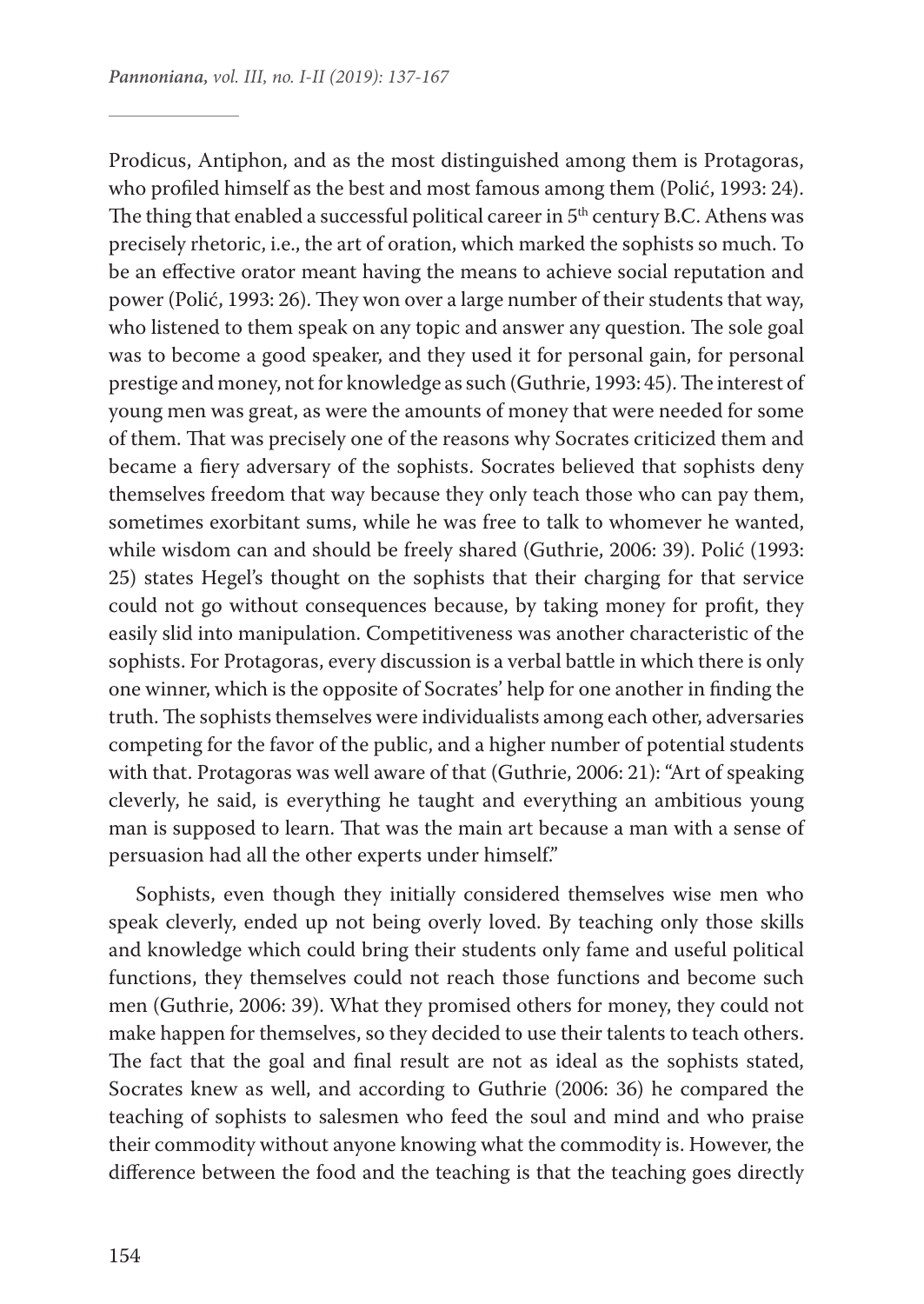Prodicus, Antiphon, and as the most distinguished among them is Protagoras, who profiled himself as the best and most famous among them (Polić, 1993: 24). The thing that enabled a successful political career in  $5<sup>th</sup>$  century B.C. Athens was precisely rhetoric, i.e., the art of oration, which marked the sophists so much. To be an effective orator meant having the means to achieve social reputation and power (Polić, 1993: 26). They won over a large number of their students that way, who listened to them speak on any topic and answer any question. The sole goal was to become a good speaker, and they used it for personal gain, for personal prestige and money, not for knowledge as such (Guthrie, 1993: 45). The interest of young men was great, as were the amounts of money that were needed for some of them. That was precisely one of the reasons why Socrates criticized them and became a fiery adversary of the sophists. Socrates believed that sophists deny themselves freedom that way because they only teach those who can pay them, sometimes exorbitant sums, while he was free to talk to whomever he wanted, while wisdom can and should be freely shared (Guthrie, 2006: 39). Polić (1993: 25) states Hegel's thought on the sophists that their charging for that service could not go without consequences because, by taking money for profit, they easily slid into manipulation. Competitiveness was another characteristic of the sophists. For Protagoras, every discussion is a verbal battle in which there is only one winner, which is the opposite of Socrates' help for one another in finding the truth. The sophists themselves were individualists among each other, adversaries competing for the favor of the public, and a higher number of potential students with that. Protagoras was well aware of that (Guthrie, 2006: 21): "Art of speaking cleverly, he said, is everything he taught and everything an ambitious young man is supposed to learn. That was the main art because a man with a sense of persuasion had all the other experts under himself."

Sophists, even though they initially considered themselves wise men who speak cleverly, ended up not being overly loved. By teaching only those skills and knowledge which could bring their students only fame and useful political functions, they themselves could not reach those functions and become such men (Guthrie, 2006: 39). What they promised others for money, they could not make happen for themselves, so they decided to use their talents to teach others. The fact that the goal and final result are not as ideal as the sophists stated, Socrates knew as well, and according to Guthrie (2006: 36) he compared the teaching of sophists to salesmen who feed the soul and mind and who praise their commodity without anyone knowing what the commodity is. However, the difference between the food and the teaching is that the teaching goes directly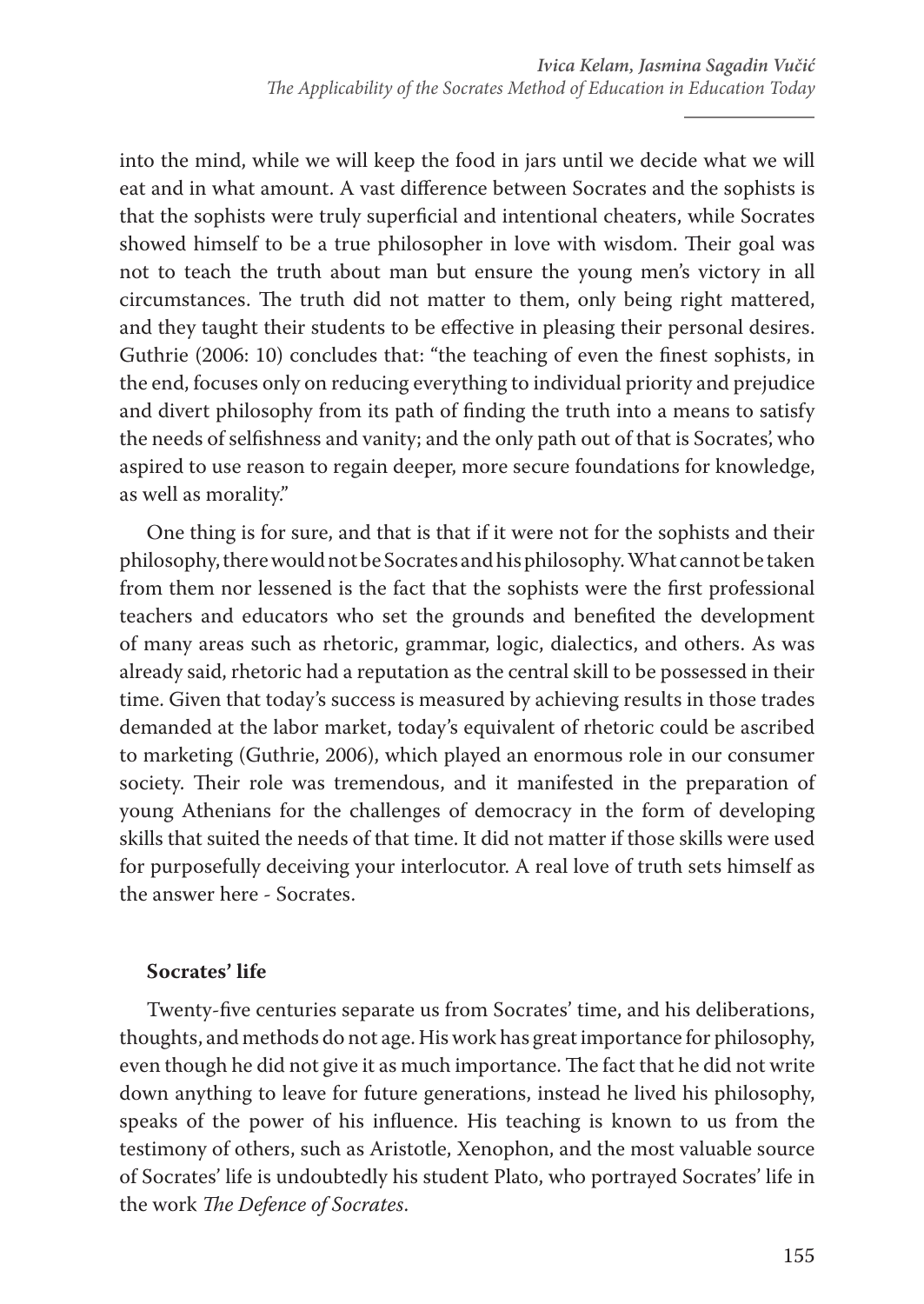into the mind, while we will keep the food in jars until we decide what we will eat and in what amount. A vast difference between Socrates and the sophists is that the sophists were truly superficial and intentional cheaters, while Socrates showed himself to be a true philosopher in love with wisdom. Their goal was not to teach the truth about man but ensure the young men's victory in all circumstances. The truth did not matter to them, only being right mattered, and they taught their students to be effective in pleasing their personal desires. Guthrie (2006: 10) concludes that: "the teaching of even the finest sophists, in the end, focuses only on reducing everything to individual priority and prejudice and divert philosophy from its path of finding the truth into a means to satisfy the needs of selfishness and vanity; and the only path out of that is Socrates', who aspired to use reason to regain deeper, more secure foundations for knowledge, as well as morality."

One thing is for sure, and that is that if it were not for the sophists and their philosophy, there would not be Socrates and his philosophy. What cannot be taken from them nor lessened is the fact that the sophists were the first professional teachers and educators who set the grounds and benefited the development of many areas such as rhetoric, grammar, logic, dialectics, and others. As was already said, rhetoric had a reputation as the central skill to be possessed in their time. Given that today's success is measured by achieving results in those trades demanded at the labor market, today's equivalent of rhetoric could be ascribed to marketing (Guthrie, 2006), which played an enormous role in our consumer society. Their role was tremendous, and it manifested in the preparation of young Athenians for the challenges of democracy in the form of developing skills that suited the needs of that time. It did not matter if those skills were used for purposefully deceiving your interlocutor. A real love of truth sets himself as the answer here - Socrates.

# **Socrates' life**

Twenty-five centuries separate us from Socrates' time, and his deliberations, thoughts, and methods do not age. His work has great importance for philosophy, even though he did not give it as much importance. The fact that he did not write down anything to leave for future generations, instead he lived his philosophy, speaks of the power of his influence. His teaching is known to us from the testimony of others, such as Aristotle, Xenophon, and the most valuable source of Socrates' life is undoubtedly his student Plato, who portrayed Socrates' life in the work *The Defence of Socrates*.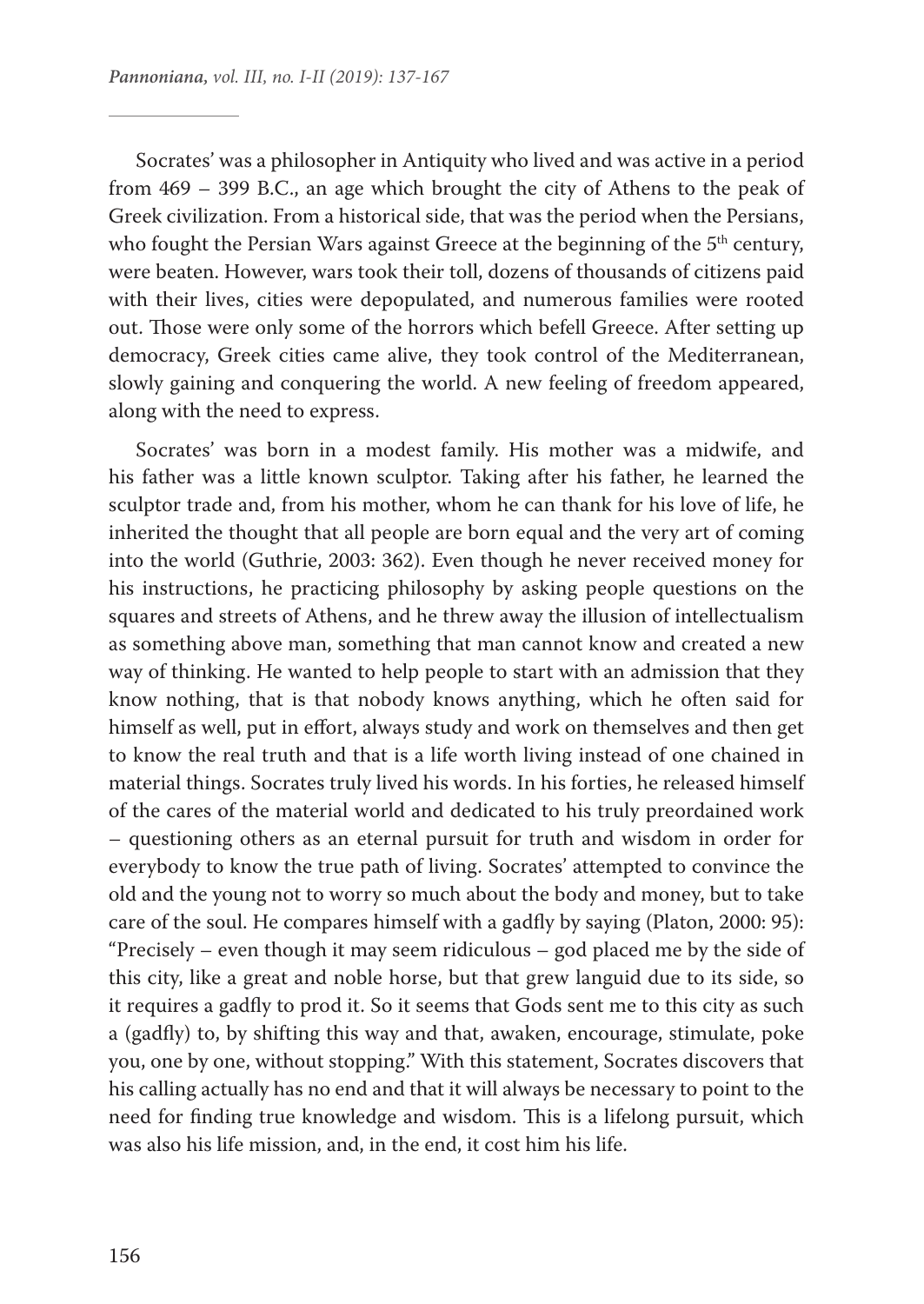Socrates' was a philosopher in Antiquity who lived and was active in a period from 469 – 399 B.C., an age which brought the city of Athens to the peak of Greek civilization. From a historical side, that was the period when the Persians, who fought the Persian Wars against Greece at the beginning of the 5<sup>th</sup> century, were beaten. However, wars took their toll, dozens of thousands of citizens paid with their lives, cities were depopulated, and numerous families were rooted out. Those were only some of the horrors which befell Greece. After setting up democracy, Greek cities came alive, they took control of the Mediterranean, slowly gaining and conquering the world. A new feeling of freedom appeared, along with the need to express.

Socrates' was born in a modest family. His mother was a midwife, and his father was a little known sculptor. Taking after his father, he learned the sculptor trade and, from his mother, whom he can thank for his love of life, he inherited the thought that all people are born equal and the very art of coming into the world (Guthrie, 2003: 362). Even though he never received money for his instructions, he practicing philosophy by asking people questions on the squares and streets of Athens, and he threw away the illusion of intellectualism as something above man, something that man cannot know and created a new way of thinking. He wanted to help people to start with an admission that they know nothing, that is that nobody knows anything, which he often said for himself as well, put in effort, always study and work on themselves and then get to know the real truth and that is a life worth living instead of one chained in material things. Socrates truly lived his words. In his forties, he released himself of the cares of the material world and dedicated to his truly preordained work – questioning others as an eternal pursuit for truth and wisdom in order for everybody to know the true path of living. Socrates' attempted to convince the old and the young not to worry so much about the body and money, but to take care of the soul. He compares himself with a gadfly by saying (Platon, 2000: 95): "Precisely – even though it may seem ridiculous – god placed me by the side of this city, like a great and noble horse, but that grew languid due to its side, so it requires a gadfly to prod it. So it seems that Gods sent me to this city as such a (gadfly) to, by shifting this way and that, awaken, encourage, stimulate, poke you, one by one, without stopping." With this statement, Socrates discovers that his calling actually has no end and that it will always be necessary to point to the need for finding true knowledge and wisdom. This is a lifelong pursuit, which was also his life mission, and, in the end, it cost him his life.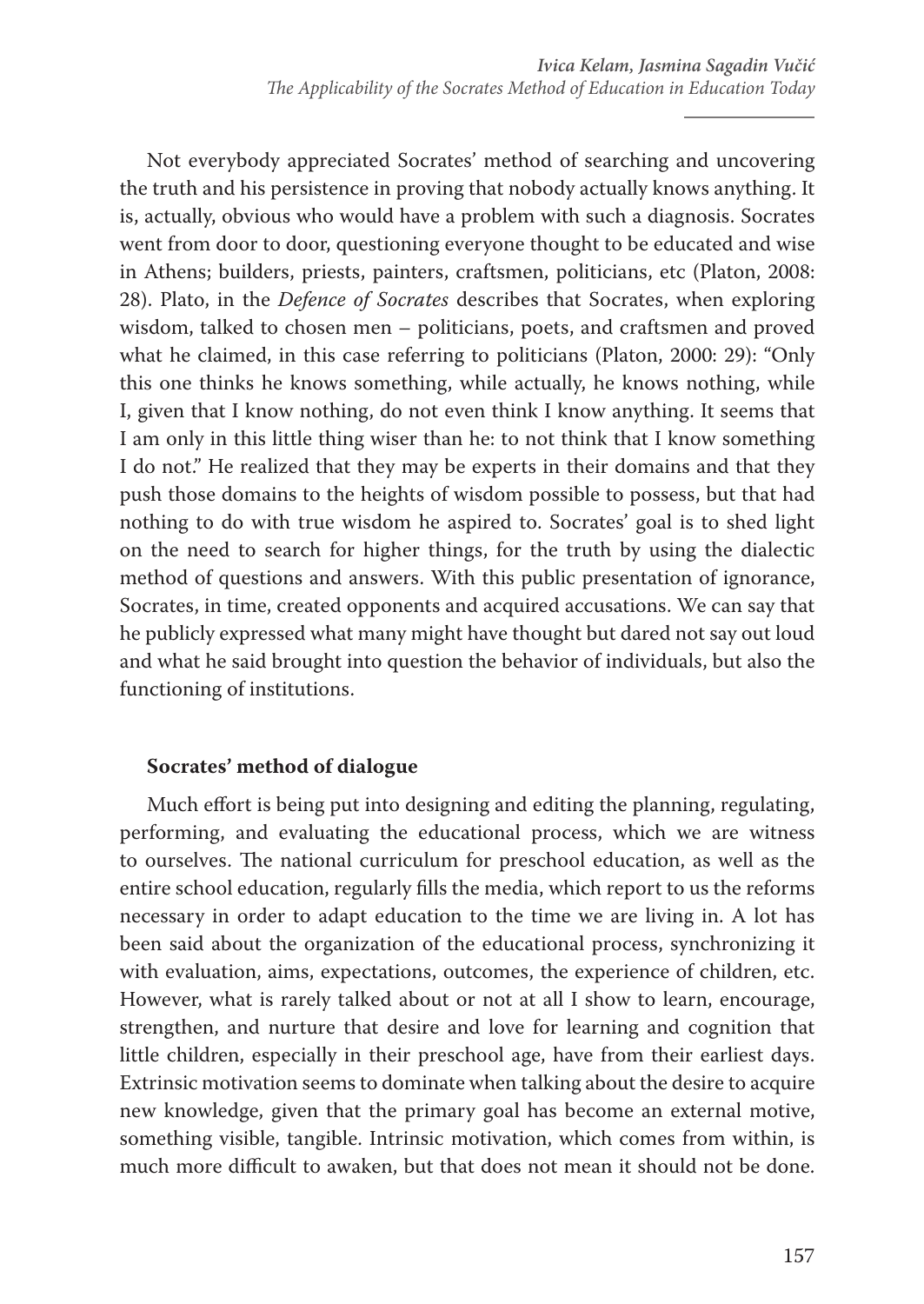Not everybody appreciated Socrates' method of searching and uncovering the truth and his persistence in proving that nobody actually knows anything. It is, actually, obvious who would have a problem with such a diagnosis. Socrates went from door to door, questioning everyone thought to be educated and wise in Athens; builders, priests, painters, craftsmen, politicians, etc (Platon, 2008: 28). Plato, in the *Defence of Socrates* describes that Socrates, when exploring wisdom, talked to chosen men – politicians, poets, and craftsmen and proved what he claimed, in this case referring to politicians (Platon, 2000: 29): "Only this one thinks he knows something, while actually, he knows nothing, while I, given that I know nothing, do not even think I know anything. It seems that I am only in this little thing wiser than he: to not think that I know something I do not." He realized that they may be experts in their domains and that they push those domains to the heights of wisdom possible to possess, but that had nothing to do with true wisdom he aspired to. Socrates' goal is to shed light on the need to search for higher things, for the truth by using the dialectic method of questions and answers. With this public presentation of ignorance, Socrates, in time, created opponents and acquired accusations. We can say that he publicly expressed what many might have thought but dared not say out loud and what he said brought into question the behavior of individuals, but also the functioning of institutions.

# **Socrates' method of dialogue**

Much effort is being put into designing and editing the planning, regulating, performing, and evaluating the educational process, which we are witness to ourselves. The national curriculum for preschool education, as well as the entire school education, regularly fills the media, which report to us the reforms necessary in order to adapt education to the time we are living in. A lot has been said about the organization of the educational process, synchronizing it with evaluation, aims, expectations, outcomes, the experience of children, etc. However, what is rarely talked about or not at all I show to learn, encourage, strengthen, and nurture that desire and love for learning and cognition that little children, especially in their preschool age, have from their earliest days. Extrinsic motivation seems to dominate when talking about the desire to acquire new knowledge, given that the primary goal has become an external motive, something visible, tangible. Intrinsic motivation, which comes from within, is much more difficult to awaken, but that does not mean it should not be done.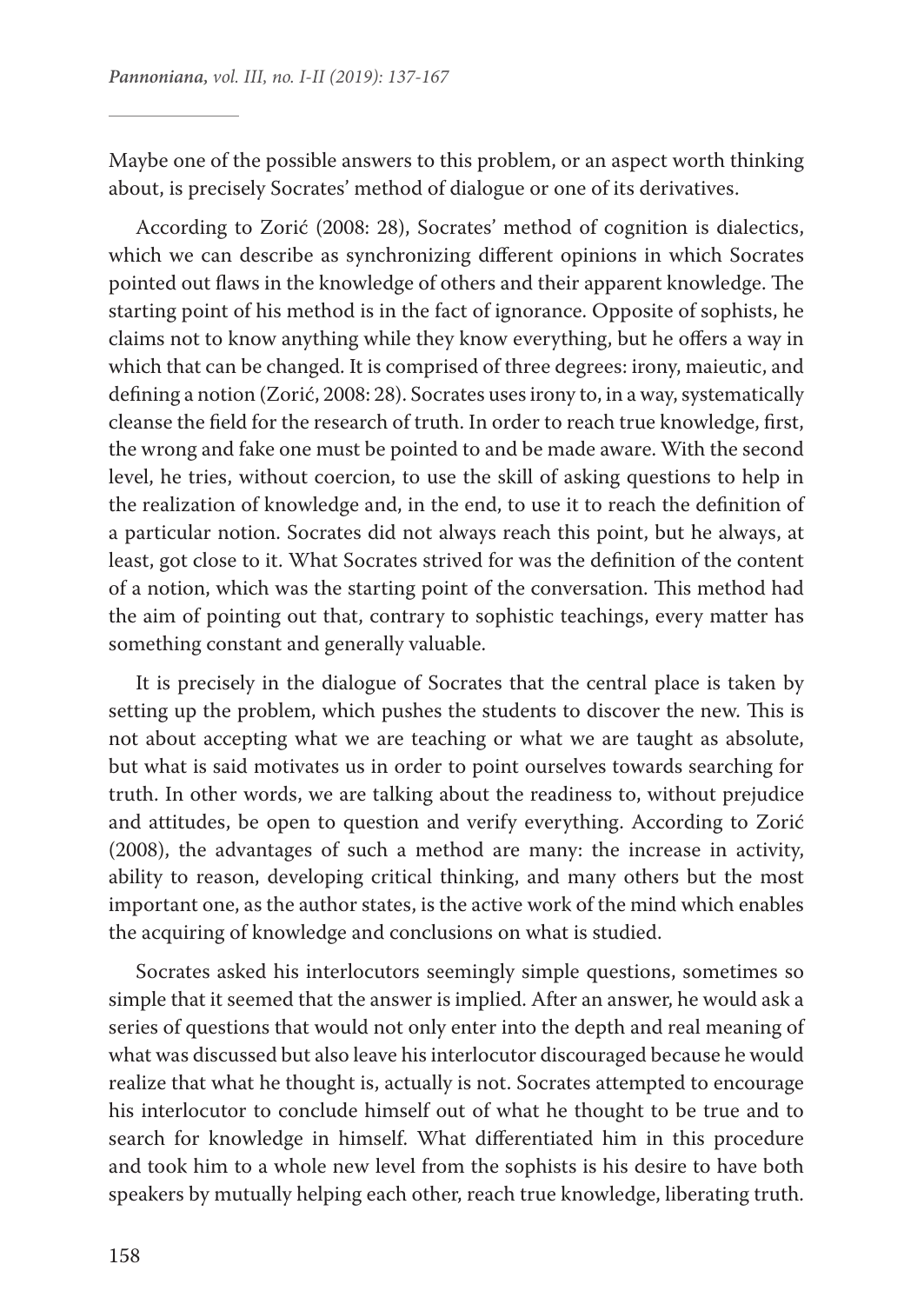Maybe one of the possible answers to this problem, or an aspect worth thinking about, is precisely Socrates' method of dialogue or one of its derivatives.

According to Zorić (2008: 28), Socrates' method of cognition is dialectics, which we can describe as synchronizing different opinions in which Socrates pointed out flaws in the knowledge of others and their apparent knowledge. The starting point of his method is in the fact of ignorance. Opposite of sophists, he claims not to know anything while they know everything, but he offers a way in which that can be changed. It is comprised of three degrees: irony, maieutic, and defining a notion (Zorić, 2008: 28). Socrates uses irony to, in a way, systematically cleanse the field for the research of truth. In order to reach true knowledge, first, the wrong and fake one must be pointed to and be made aware. With the second level, he tries, without coercion, to use the skill of asking questions to help in the realization of knowledge and, in the end, to use it to reach the definition of a particular notion. Socrates did not always reach this point, but he always, at least, got close to it. What Socrates strived for was the definition of the content of a notion, which was the starting point of the conversation. This method had the aim of pointing out that, contrary to sophistic teachings, every matter has something constant and generally valuable.

It is precisely in the dialogue of Socrates that the central place is taken by setting up the problem, which pushes the students to discover the new. This is not about accepting what we are teaching or what we are taught as absolute, but what is said motivates us in order to point ourselves towards searching for truth. In other words, we are talking about the readiness to, without prejudice and attitudes, be open to question and verify everything. According to Zorić (2008), the advantages of such a method are many: the increase in activity, ability to reason, developing critical thinking, and many others but the most important one, as the author states, is the active work of the mind which enables the acquiring of knowledge and conclusions on what is studied.

Socrates asked his interlocutors seemingly simple questions, sometimes so simple that it seemed that the answer is implied. After an answer, he would ask a series of questions that would not only enter into the depth and real meaning of what was discussed but also leave his interlocutor discouraged because he would realize that what he thought is, actually is not. Socrates attempted to encourage his interlocutor to conclude himself out of what he thought to be true and to search for knowledge in himself. What differentiated him in this procedure and took him to a whole new level from the sophists is his desire to have both speakers by mutually helping each other, reach true knowledge, liberating truth.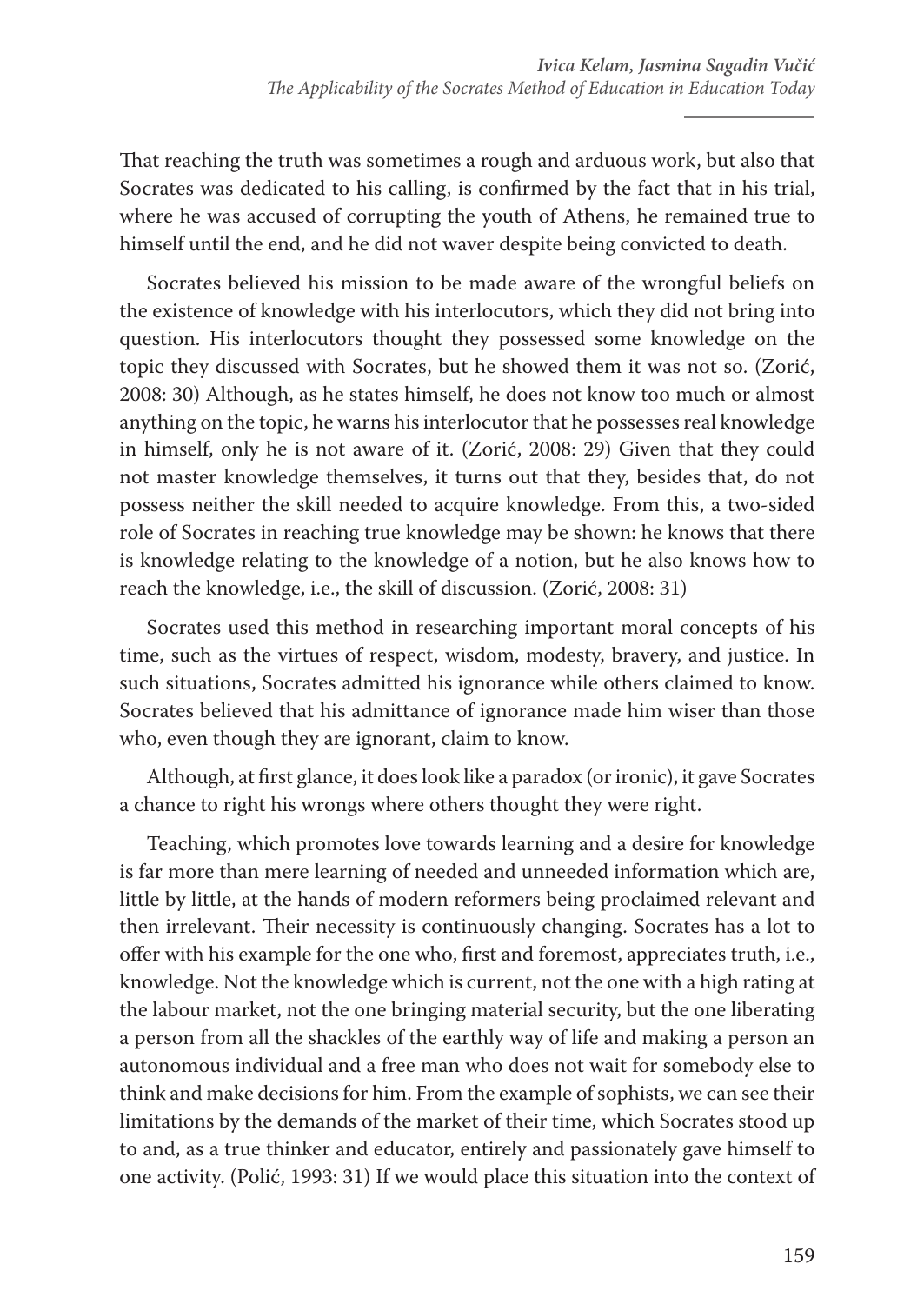That reaching the truth was sometimes a rough and arduous work, but also that Socrates was dedicated to his calling, is confirmed by the fact that in his trial, where he was accused of corrupting the youth of Athens, he remained true to himself until the end, and he did not waver despite being convicted to death.

Socrates believed his mission to be made aware of the wrongful beliefs on the existence of knowledge with his interlocutors, which they did not bring into question. His interlocutors thought they possessed some knowledge on the topic they discussed with Socrates, but he showed them it was not so. (Zorić, 2008: 30) Although, as he states himself, he does not know too much or almost anything on the topic, he warns his interlocutor that he possesses real knowledge in himself, only he is not aware of it. (Zorić, 2008: 29) Given that they could not master knowledge themselves, it turns out that they, besides that, do not possess neither the skill needed to acquire knowledge. From this, a two-sided role of Socrates in reaching true knowledge may be shown: he knows that there is knowledge relating to the knowledge of a notion, but he also knows how to reach the knowledge, i.e., the skill of discussion. (Zorić, 2008: 31)

Socrates used this method in researching important moral concepts of his time, such as the virtues of respect, wisdom, modesty, bravery, and justice. In such situations, Socrates admitted his ignorance while others claimed to know. Socrates believed that his admittance of ignorance made him wiser than those who, even though they are ignorant, claim to know.

Although, at first glance, it does look like a paradox (or ironic), it gave Socrates a chance to right his wrongs where others thought they were right.

Teaching, which promotes love towards learning and a desire for knowledge is far more than mere learning of needed and unneeded information which are, little by little, at the hands of modern reformers being proclaimed relevant and then irrelevant. Their necessity is continuously changing. Socrates has a lot to offer with his example for the one who, first and foremost, appreciates truth, i.e., knowledge. Not the knowledge which is current, not the one with a high rating at the labour market, not the one bringing material security, but the one liberating a person from all the shackles of the earthly way of life and making a person an autonomous individual and a free man who does not wait for somebody else to think and make decisions for him. From the example of sophists, we can see their limitations by the demands of the market of their time, which Socrates stood up to and, as a true thinker and educator, entirely and passionately gave himself to one activity. (Polić, 1993: 31) If we would place this situation into the context of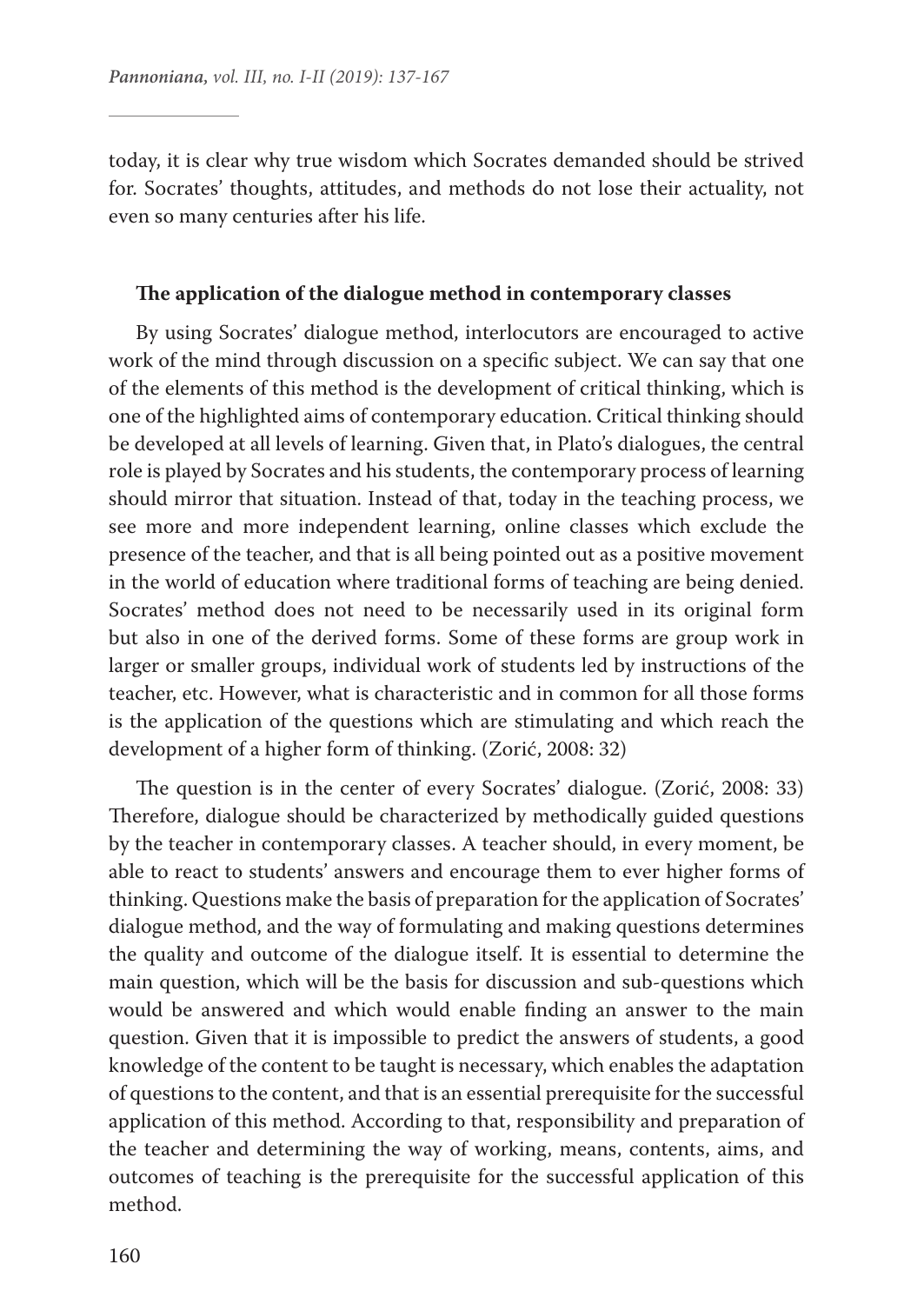today, it is clear why true wisdom which Socrates demanded should be strived for. Socrates' thoughts, attitudes, and methods do not lose their actuality, not even so many centuries after his life.

#### **The application of the dialogue method in contemporary classes**

By using Socrates' dialogue method, interlocutors are encouraged to active work of the mind through discussion on a specific subject. We can say that one of the elements of this method is the development of critical thinking, which is one of the highlighted aims of contemporary education. Critical thinking should be developed at all levels of learning. Given that, in Plato's dialogues, the central role is played by Socrates and his students, the contemporary process of learning should mirror that situation. Instead of that, today in the teaching process, we see more and more independent learning, online classes which exclude the presence of the teacher, and that is all being pointed out as a positive movement in the world of education where traditional forms of teaching are being denied. Socrates' method does not need to be necessarily used in its original form but also in one of the derived forms. Some of these forms are group work in larger or smaller groups, individual work of students led by instructions of the teacher, etc. However, what is characteristic and in common for all those forms is the application of the questions which are stimulating and which reach the development of a higher form of thinking. (Zorić, 2008: 32)

The question is in the center of every Socrates' dialogue. (Zorić, 2008: 33) Therefore, dialogue should be characterized by methodically guided questions by the teacher in contemporary classes. A teacher should, in every moment, be able to react to students' answers and encourage them to ever higher forms of thinking. Questions make the basis of preparation for the application of Socrates' dialogue method, and the way of formulating and making questions determines the quality and outcome of the dialogue itself. It is essential to determine the main question, which will be the basis for discussion and sub-questions which would be answered and which would enable finding an answer to the main question. Given that it is impossible to predict the answers of students, a good knowledge of the content to be taught is necessary, which enables the adaptation of questions to the content, and that is an essential prerequisite for the successful application of this method. According to that, responsibility and preparation of the teacher and determining the way of working, means, contents, aims, and outcomes of teaching is the prerequisite for the successful application of this method.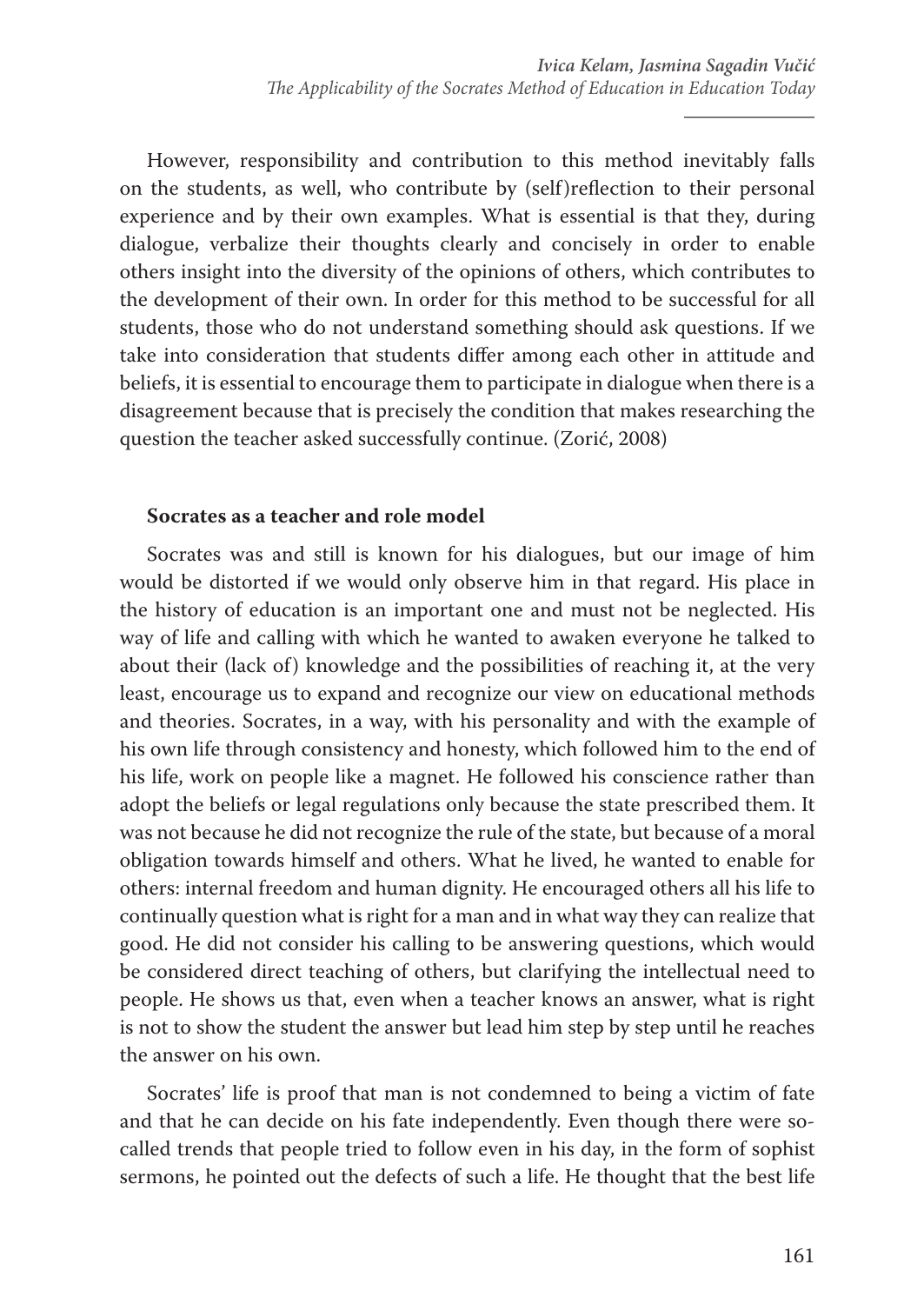However, responsibility and contribution to this method inevitably falls on the students, as well, who contribute by (self)reflection to their personal experience and by their own examples. What is essential is that they, during dialogue, verbalize their thoughts clearly and concisely in order to enable others insight into the diversity of the opinions of others, which contributes to the development of their own. In order for this method to be successful for all students, those who do not understand something should ask questions. If we take into consideration that students differ among each other in attitude and beliefs, it is essential to encourage them to participate in dialogue when there is a disagreement because that is precisely the condition that makes researching the question the teacher asked successfully continue. (Zorić, 2008)

## **Socrates as a teacher and role model**

Socrates was and still is known for his dialogues, but our image of him would be distorted if we would only observe him in that regard. His place in the history of education is an important one and must not be neglected. His way of life and calling with which he wanted to awaken everyone he talked to about their (lack of) knowledge and the possibilities of reaching it, at the very least, encourage us to expand and recognize our view on educational methods and theories. Socrates, in a way, with his personality and with the example of his own life through consistency and honesty, which followed him to the end of his life, work on people like a magnet. He followed his conscience rather than adopt the beliefs or legal regulations only because the state prescribed them. It was not because he did not recognize the rule of the state, but because of a moral obligation towards himself and others. What he lived, he wanted to enable for others: internal freedom and human dignity. He encouraged others all his life to continually question what is right for a man and in what way they can realize that good. He did not consider his calling to be answering questions, which would be considered direct teaching of others, but clarifying the intellectual need to people. He shows us that, even when a teacher knows an answer, what is right is not to show the student the answer but lead him step by step until he reaches the answer on his own.

Socrates' life is proof that man is not condemned to being a victim of fate and that he can decide on his fate independently. Even though there were socalled trends that people tried to follow even in his day, in the form of sophist sermons, he pointed out the defects of such a life. He thought that the best life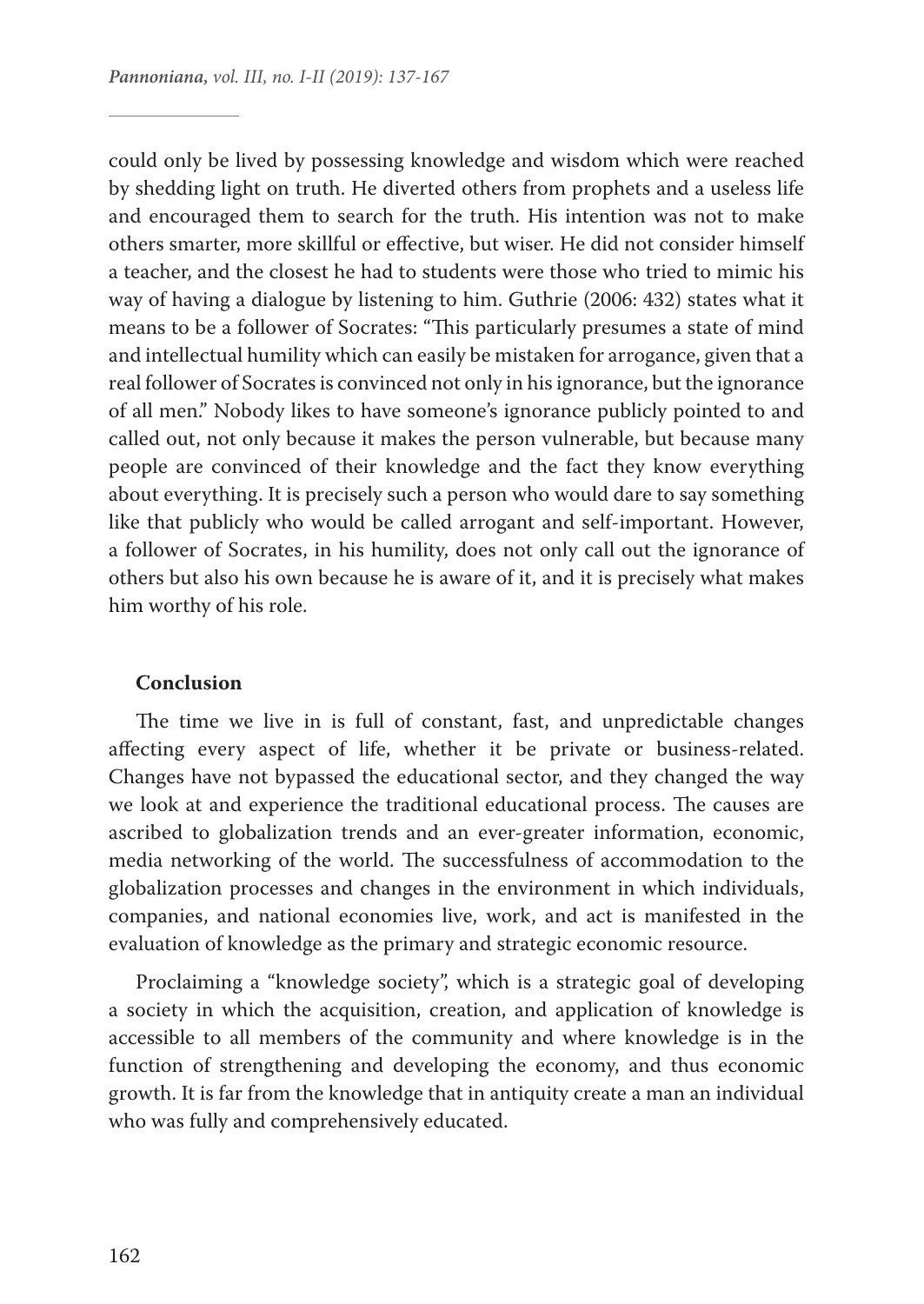could only be lived by possessing knowledge and wisdom which were reached by shedding light on truth. He diverted others from prophets and a useless life and encouraged them to search for the truth. His intention was not to make others smarter, more skillful or effective, but wiser. He did not consider himself a teacher, and the closest he had to students were those who tried to mimic his way of having a dialogue by listening to him. Guthrie (2006: 432) states what it means to be a follower of Socrates: "This particularly presumes a state of mind and intellectual humility which can easily be mistaken for arrogance, given that a real follower of Socrates is convinced not only in his ignorance, but the ignorance of all men." Nobody likes to have someone's ignorance publicly pointed to and called out, not only because it makes the person vulnerable, but because many people are convinced of their knowledge and the fact they know everything about everything. It is precisely such a person who would dare to say something like that publicly who would be called arrogant and self-important. However, a follower of Socrates, in his humility, does not only call out the ignorance of others but also his own because he is aware of it, and it is precisely what makes him worthy of his role.

## **Conclusion**

The time we live in is full of constant, fast, and unpredictable changes affecting every aspect of life, whether it be private or business-related. Changes have not bypassed the educational sector, and they changed the way we look at and experience the traditional educational process. The causes are ascribed to globalization trends and an ever-greater information, economic, media networking of the world. The successfulness of accommodation to the globalization processes and changes in the environment in which individuals, companies, and national economies live, work, and act is manifested in the evaluation of knowledge as the primary and strategic economic resource.

Proclaiming a "knowledge society", which is a strategic goal of developing a society in which the acquisition, creation, and application of knowledge is accessible to all members of the community and where knowledge is in the function of strengthening and developing the economy, and thus economic growth. It is far from the knowledge that in antiquity create a man an individual who was fully and comprehensively educated.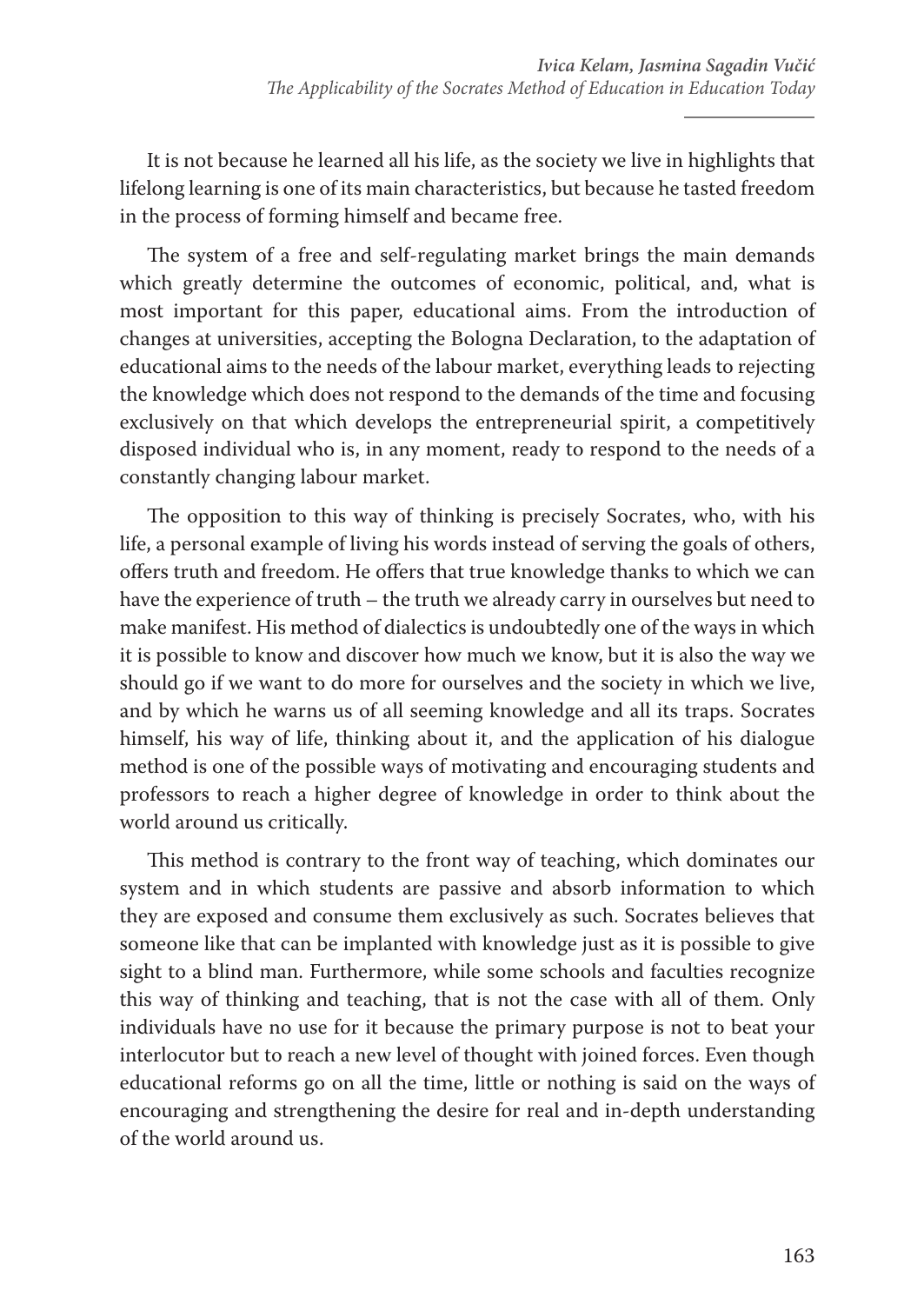It is not because he learned all his life, as the society we live in highlights that lifelong learning is one of its main characteristics, but because he tasted freedom in the process of forming himself and became free.

The system of a free and self-regulating market brings the main demands which greatly determine the outcomes of economic, political, and, what is most important for this paper, educational aims. From the introduction of changes at universities, accepting the Bologna Declaration, to the adaptation of educational aims to the needs of the labour market, everything leads to rejecting the knowledge which does not respond to the demands of the time and focusing exclusively on that which develops the entrepreneurial spirit, a competitively disposed individual who is, in any moment, ready to respond to the needs of a constantly changing labour market.

The opposition to this way of thinking is precisely Socrates, who, with his life, a personal example of living his words instead of serving the goals of others, offers truth and freedom. He offers that true knowledge thanks to which we can have the experience of truth – the truth we already carry in ourselves but need to make manifest. His method of dialectics is undoubtedly one of the ways in which it is possible to know and discover how much we know, but it is also the way we should go if we want to do more for ourselves and the society in which we live, and by which he warns us of all seeming knowledge and all its traps. Socrates himself, his way of life, thinking about it, and the application of his dialogue method is one of the possible ways of motivating and encouraging students and professors to reach a higher degree of knowledge in order to think about the world around us critically.

This method is contrary to the front way of teaching, which dominates our system and in which students are passive and absorb information to which they are exposed and consume them exclusively as such. Socrates believes that someone like that can be implanted with knowledge just as it is possible to give sight to a blind man. Furthermore, while some schools and faculties recognize this way of thinking and teaching, that is not the case with all of them. Only individuals have no use for it because the primary purpose is not to beat your interlocutor but to reach a new level of thought with joined forces. Even though educational reforms go on all the time, little or nothing is said on the ways of encouraging and strengthening the desire for real and in-depth understanding of the world around us.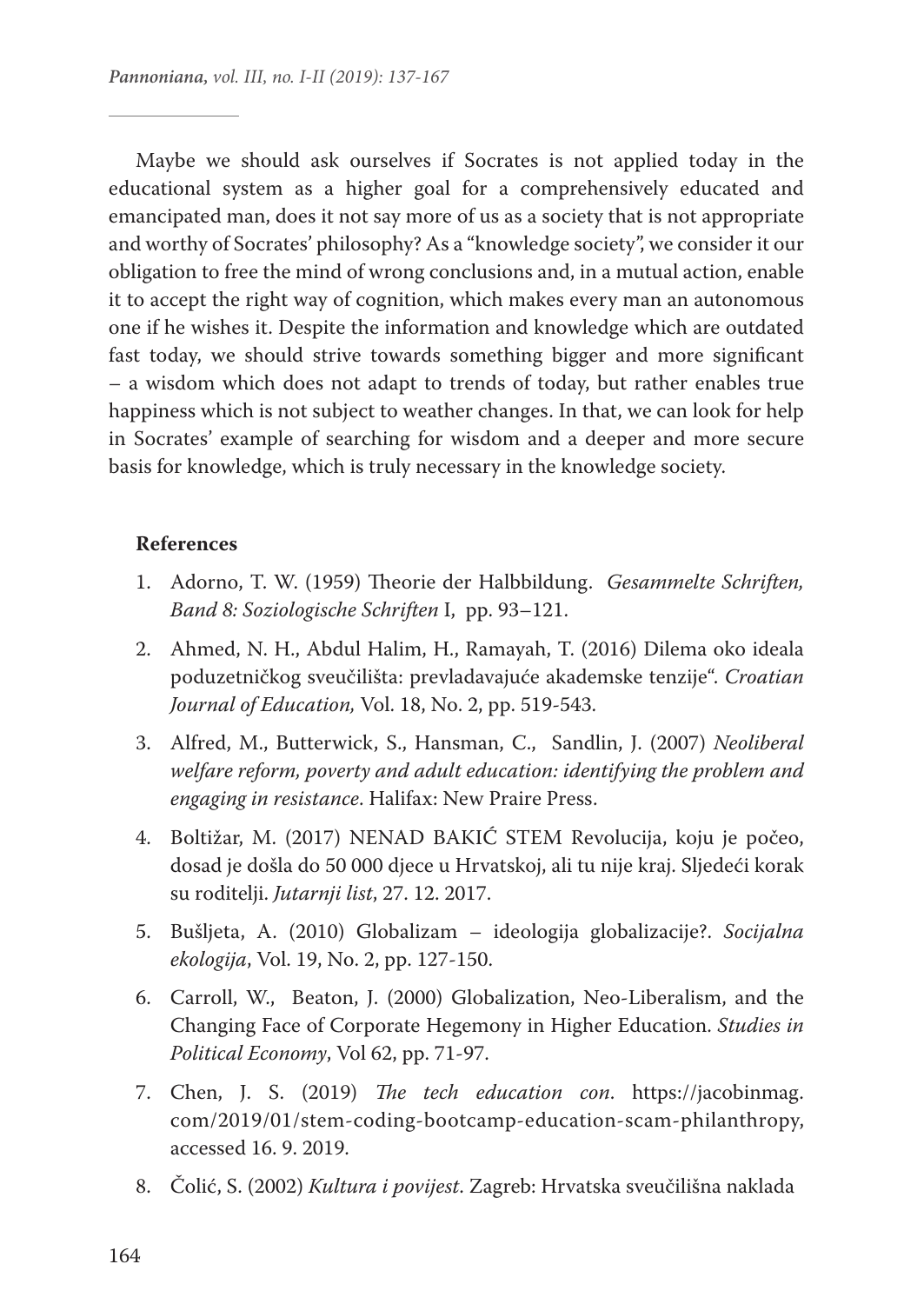Maybe we should ask ourselves if Socrates is not applied today in the educational system as a higher goal for a comprehensively educated and emancipated man, does it not say more of us as a society that is not appropriate and worthy of Socrates' philosophy? As a "knowledge society", we consider it our obligation to free the mind of wrong conclusions and, in a mutual action, enable it to accept the right way of cognition, which makes every man an autonomous one if he wishes it. Despite the information and knowledge which are outdated fast today, we should strive towards something bigger and more significant – a wisdom which does not adapt to trends of today, but rather enables true happiness which is not subject to weather changes. In that, we can look for help in Socrates' example of searching for wisdom and a deeper and more secure basis for knowledge, which is truly necessary in the knowledge society.

### **References**

- 1. Adorno, T. W. (1959) Theorie der Halbbildung. *Gesammelte Schriften, Band 8: Soziologische Schriften* I, pp. 93–121.
- 2. Ahmed, N. H., Abdul Halim, H., Ramayah, T. (2016) Dilema oko ideala poduzetničkog sveučilišta: prevladavajuće akademske tenzije". *Croatian Journal of Education,* Vol. 18, No. 2, pp. 519-543.
- 3. Alfred, M., Butterwick, S., Hansman, C., Sandlin, J. (2007) *Neoliberal welfare reform, poverty and adult education: identifying the problem and engaging in resistance*. Halifax: New Praire Press.
- 4. Boltižar, M. (2017) NENAD BAKIĆ STEM Revolucija, koju je počeo, dosad je došla do 50 000 djece u Hrvatskoj, ali tu nije kraj. Sljedeći korak su roditelji. *Jutarnji list*, 27. 12. 2017.
- 5. Bušljeta, A. (2010) Globalizam ideologija globalizacije?. *Socijalna ekologija*, Vol. 19, No. 2, pp. 127-150.
- 6. Carroll, W., Beaton, J. (2000) Globalization, Neo-Liberalism, and the Changing Face of Corporate Hegemony in Higher Education. *Studies in Political Economy*, Vol 62, pp. 71-97.
- 7. Chen, J. S. (2019) *The tech education con*. https://jacobinmag. com/2019/01/stem-coding-bootcamp-education-scam-philanthropy, accessed 16. 9. 2019.
- 8. Čolić, S. (2002) *Kultura i povijest*. Zagreb: Hrvatska sveučilišna naklada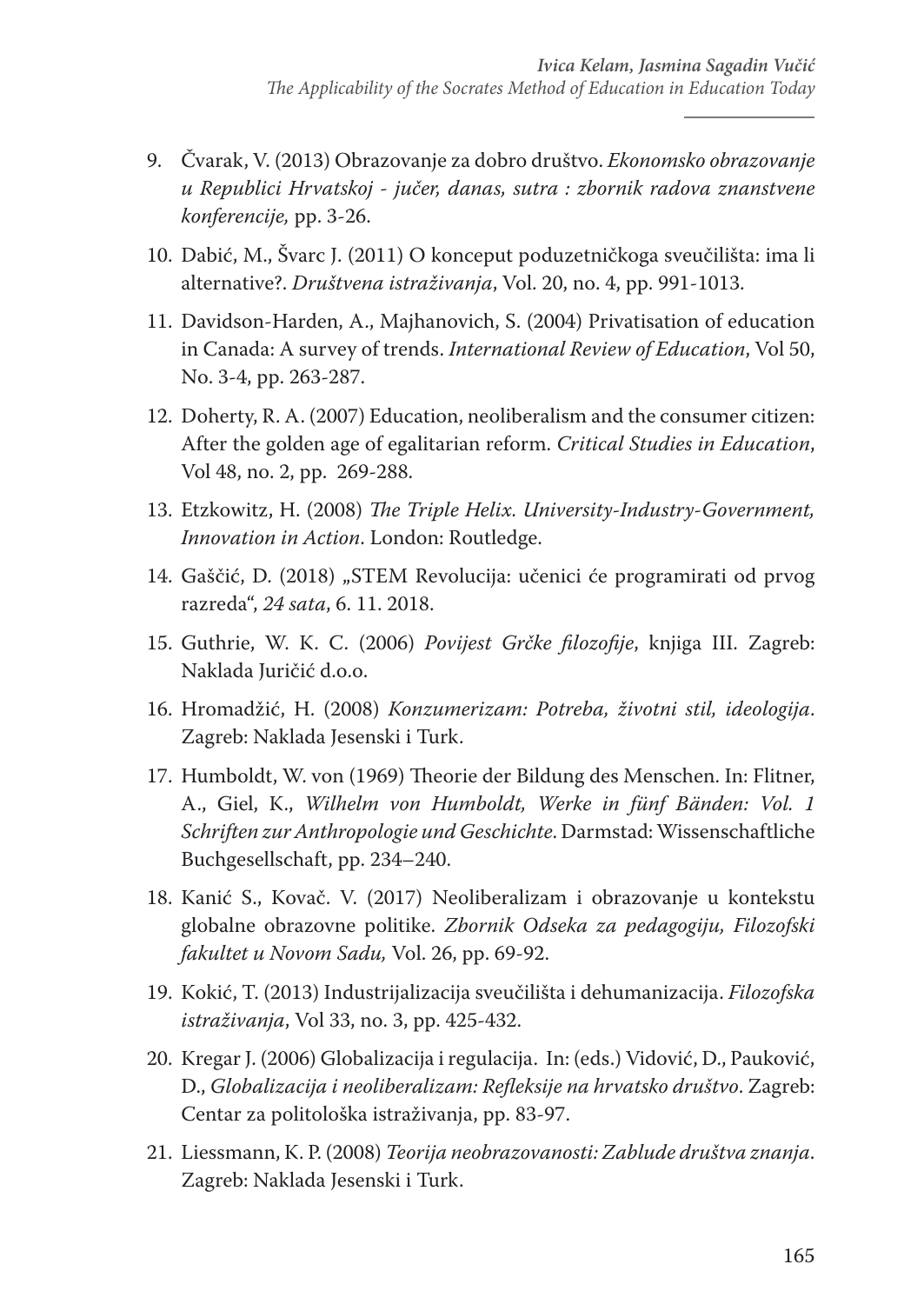- 9. Čvarak, V. (2013) Obrazovanje za dobro društvo. *Ekonomsko obrazovanje u Republici Hrvatskoj - jučer, danas, sutra : zbornik radova znanstvene konferencije,* pp. 3-26.
- 10. Dabić, M., Švarc J. (2011) O konceput poduzetničkoga sveučilišta: ima li alternative?. *Društvena istraživanja*, Vol. 20, no. 4, pp. 991-1013.
- 11. Davidson-Harden, A., Majhanovich, S. (2004) Privatisation of education in Canada: A survey of trends. *International Review of Education*, Vol 50, No. 3-4, pp. 263-287.
- 12. Doherty, R. A. (2007) Education, neoliberalism and the consumer citizen: After the golden age of egalitarian reform. *Critical Studies in Education*, Vol 48, no. 2, pp. 269-288.
- 13. Etzkowitz, H. (2008) *The Triple Helix. University-Industry-Government, Innovation in Action*. London: Routledge.
- 14. Gaščić, D. (2018) "STEM Revolucija: učenici će programirati od prvog razreda", *24 sata*, 6. 11. 2018.
- 15. Guthrie, W. K. C. (2006) *Povijest Grčke filozofije*, knjiga III. Zagreb: Naklada Juričić d.o.o.
- 16. Hromadžić, H. (2008) *Konzumerizam: Potreba, životni stil, ideologija*. Zagreb: Naklada Jesenski i Turk.
- 17. Humboldt, W. von (1969) Theorie der Bildung des Menschen. In: Flitner, A., Giel, K., *Wilhelm von Humboldt, Werke in fünf Bänden: Vol. 1 Schriften zur Anthropologie und Geschichte*. Darmstad: Wissenschaftliche Buchgesellschaft, pp. 234–240.
- 18. Kanić S., Kovač. V. (2017) Neoliberalizam i obrazovanje u kontekstu globalne obrazovne politike. *Zbornik Odseka za pedagogiju, Filozofski fakultet u Novom Sadu,* Vol. 26, pp. 69-92.
- 19. Kokić, T. (2013) Industrijalizacija sveučilišta i dehumanizacija. *Filozofska istraživanja*, Vol 33, no. 3, pp. 425-432.
- 20. Kregar J. (2006) Globalizacija i regulacija. In: (eds.) Vidović, D., Pauković, D., *Globalizacija i neoliberalizam: Refleksije na hrvatsko društvo*. Zagreb: Centar za politološka istraživanja, pp. 83-97.
- 21. Liessmann, K. P. (2008) *Teorija neobrazovanosti: Zablude društva znanja*. Zagreb: Naklada Jesenski i Turk.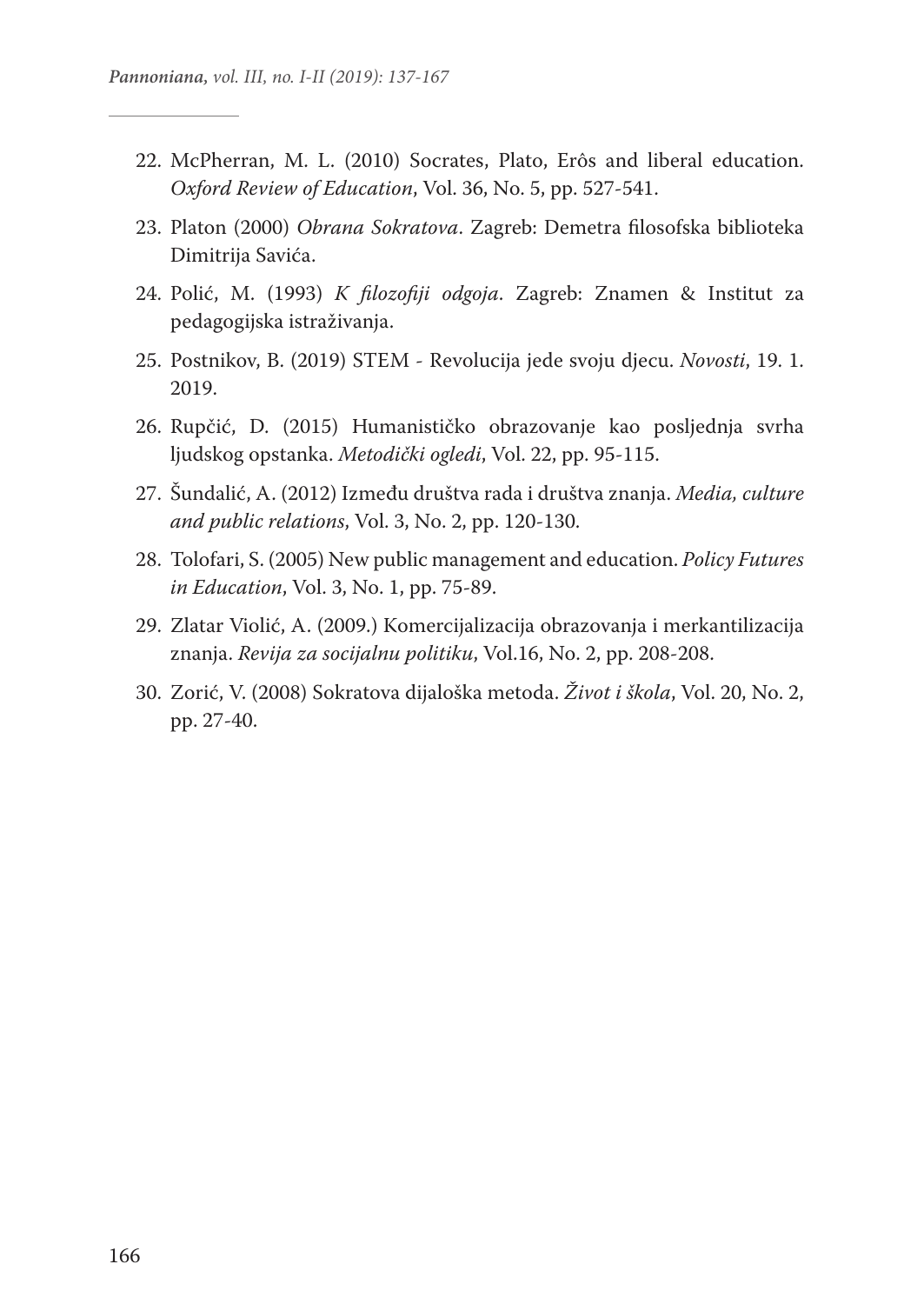- 22. McPherran, M. L. (2010) Socrates, Plato, Erôs and liberal education. *Oxford Review of Education*, Vol. 36, No. 5, pp. 527-541.
- 23. Platon (2000) *Obrana Sokratova*. Zagreb: Demetra filosofska biblioteka Dimitrija Savića.
- 24. Polić, M. (1993) *K filozofiji odgoja*. Zagreb: Znamen & Institut za pedagogijska istraživanja.
- 25. Postnikov, B. (2019) STEM Revolucija jede svoju djecu. *Novosti*, 19. 1. 2019.
- 26. Rupčić, D. (2015) Humanističko obrazovanje kao posljednja svrha ljudskog opstanka. *Metodički ogledi*, Vol. 22, pp. 95-115.
- 27. Šundalić, A. (2012) Između društva rada i društva znanja. *Media, culture and public relations*, Vol. 3, No. 2, pp. 120-130.
- 28. Tolofari, S. (2005) New public management and education. *Policy Futures in Education*, Vol. 3, No. 1, pp. 75-89.
- 29. Zlatar Violić, A. (2009.) Komercijalizacija obrazovanja i merkantilizacija znanja. *Revija za socijalnu politiku*, Vol.16, No. 2, pp. 208-208.
- 30. Zorić, V. (2008) Sokratova dijaloška metoda. *Život i škola*, Vol. 20, No. 2, pp. 27-40.